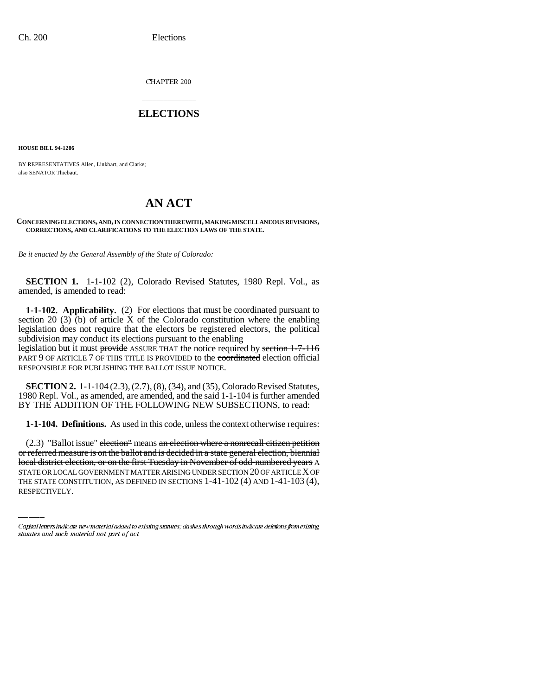CHAPTER 200

## \_\_\_\_\_\_\_\_\_\_\_\_\_\_\_ **ELECTIONS** \_\_\_\_\_\_\_\_\_\_\_\_\_\_\_

**HOUSE BILL 94-1286**

BY REPRESENTATIVES Allen, Linkhart, and Clarke; also SENATOR Thiebaut.

# **AN ACT**

#### **CONCERNING ELECTIONS, AND, IN CONNECTION THEREWITH, MAKING MISCELLANEOUS REVISIONS, CORRECTIONS, AND CLARIFICATIONS TO THE ELECTION LAWS OF THE STATE.**

*Be it enacted by the General Assembly of the State of Colorado:*

**SECTION 1.** 1-1-102 (2), Colorado Revised Statutes, 1980 Repl. Vol., as amended, is amended to read:

**1-1-102. Applicability.** (2) For elections that must be coordinated pursuant to section 20 (3) (b) of article X of the Colorado constitution where the enabling legislation does not require that the electors be registered electors, the political subdivision may conduct its elections pursuant to the enabling legislation but it must provide ASSURE THAT the notice required by section 1-7-116

PART 9 OF ARTICLE 7 OF THIS TITLE IS PROVIDED to the coordinated election official RESPONSIBLE FOR PUBLISHING THE BALLOT ISSUE NOTICE.

**SECTION 2.** 1-1-104 (2.3), (2.7), (8), (34), and (35), Colorado Revised Statutes, 1980 Repl. Vol., as amended, are amended, and the said 1-1-104 is further amended BY THE ADDITION OF THE FOLLOWING NEW SUBSECTIONS, to read:

**1-1-104. Definitions.** As used in this code, unless the context otherwise requires:

or referred measure is on the ballot and is decided in a state general election, biennial  $(2.3)$  "Ballot issue" election" means an election where a nonrecall citizen petition local district election, or on the first Tuesday in November of odd-numbered years A STATE OR LOCAL GOVERNMENT MATTER ARISING UNDER SECTION 20 OF ARTICLE X OF THE STATE CONSTITUTION, AS DEFINED IN SECTIONS 1-41-102 (4) AND 1-41-103 (4), RESPECTIVELY.

Capital letters indicate new material added to existing statutes; dashes through words indicate deletions from existing statutes and such material not part of act.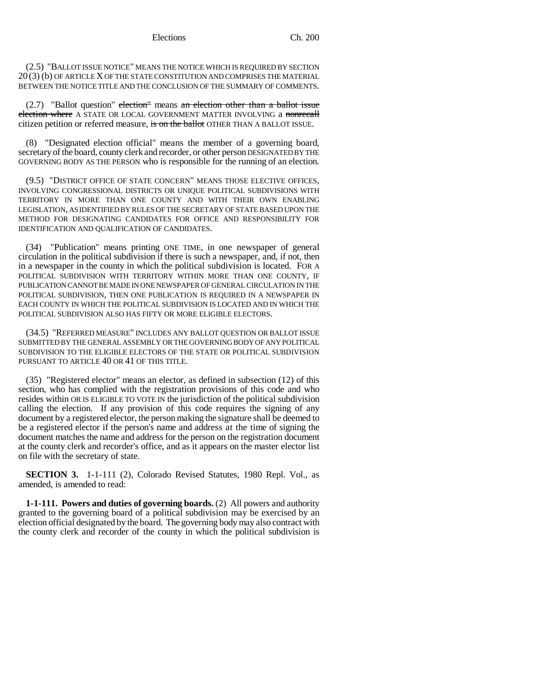(2.5) "BALLOT ISSUE NOTICE" MEANS THE NOTICE WHICH IS REQUIRED BY SECTION 20 (3) (b) OF ARTICLE X OF THE STATE CONSTITUTION AND COMPRISES THE MATERIAL BETWEEN THE NOTICE TITLE AND THE CONCLUSION OF THE SUMMARY OF COMMENTS.

 $(2.7)$  "Ballot question" election means an election other than a ballot issue election where A STATE OR LOCAL GOVERNMENT MATTER INVOLVING a nonrecall citizen petition or referred measure, is on the ballot OTHER THAN A BALLOT ISSUE.

(8) "Designated election official" means the member of a governing board, secretary of the board, county clerk and recorder, or other person DESIGNATED BY THE GOVERNING BODY AS THE PERSON who is responsible for the running of an election.

(9.5) "DISTRICT OFFICE OF STATE CONCERN" MEANS THOSE ELECTIVE OFFICES, INVOLVING CONGRESSIONAL DISTRICTS OR UNIQUE POLITICAL SUBDIVISIONS WITH TERRITORY IN MORE THAN ONE COUNTY AND WITH THEIR OWN ENABLING LEGISLATION, AS IDENTIFIED BY RULES OF THE SECRETARY OF STATE BASED UPON THE METHOD FOR DESIGNATING CANDIDATES FOR OFFICE AND RESPONSIBILITY FOR IDENTIFICATION AND QUALIFICATION OF CANDIDATES.

(34) "Publication" means printing ONE TIME, in one newspaper of general circulation in the political subdivision if there is such a newspaper, and, if not, then in a newspaper in the county in which the political subdivision is located. FOR A POLITICAL SUBDIVISION WITH TERRITORY WITHIN MORE THAN ONE COUNTY, IF PUBLICATION CANNOT BE MADE IN ONE NEWSPAPER OF GENERAL CIRCULATION IN THE POLITICAL SUBDIVISION, THEN ONE PUBLICATION IS REQUIRED IN A NEWSPAPER IN EACH COUNTY IN WHICH THE POLITICAL SUBDIVISION IS LOCATED AND IN WHICH THE POLITICAL SUBDIVISION ALSO HAS FIFTY OR MORE ELIGIBLE ELECTORS.

(34.5) "REFERRED MEASURE" INCLUDES ANY BALLOT QUESTION OR BALLOT ISSUE SUBMITTED BY THE GENERAL ASSEMBLY OR THE GOVERNING BODY OF ANY POLITICAL SUBDIVISION TO THE ELIGIBLE ELECTORS OF THE STATE OR POLITICAL SUBDIVISION PURSUANT TO ARTICLE 40 OR 41 OF THIS TITLE.

(35) "Registered elector" means an elector, as defined in subsection (12) of this section, who has complied with the registration provisions of this code and who resides within OR IS ELIGIBLE TO VOTE IN the jurisdiction of the political subdivision calling the election. If any provision of this code requires the signing of any document by a registered elector, the person making the signature shall be deemed to be a registered elector if the person's name and address at the time of signing the document matches the name and address for the person on the registration document at the county clerk and recorder's office, and as it appears on the master elector list on file with the secretary of state.

**SECTION 3.** 1-1-111 (2), Colorado Revised Statutes, 1980 Repl. Vol., as amended, is amended to read:

**1-1-111. Powers and duties of governing boards.** (2) All powers and authority granted to the governing board of a political subdivision may be exercised by an election official designated by the board. The governing body may also contract with the county clerk and recorder of the county in which the political subdivision is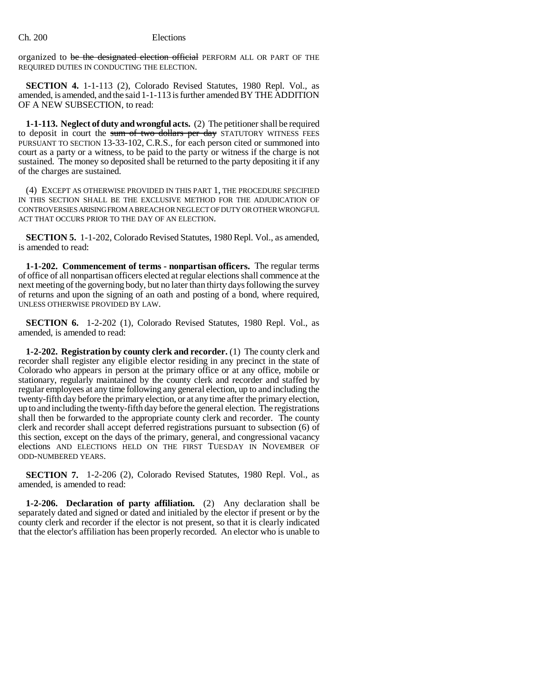organized to be the designated election official PERFORM ALL OR PART OF THE REQUIRED DUTIES IN CONDUCTING THE ELECTION.

**SECTION 4.** 1-1-113 (2), Colorado Revised Statutes, 1980 Repl. Vol., as amended, is amended, and the said 1-1-113 is further amended BY THE ADDITION OF A NEW SUBSECTION, to read:

**1-1-113. Neglect of duty and wrongful acts.** (2) The petitioner shall be required to deposit in court the sum of two dollars per day STATUTORY WITNESS FEES PURSUANT TO SECTION 13-33-102, C.R.S., for each person cited or summoned into court as a party or a witness, to be paid to the party or witness if the charge is not sustained. The money so deposited shall be returned to the party depositing it if any of the charges are sustained.

(4) EXCEPT AS OTHERWISE PROVIDED IN THIS PART 1, THE PROCEDURE SPECIFIED IN THIS SECTION SHALL BE THE EXCLUSIVE METHOD FOR THE ADJUDICATION OF CONTROVERSIES ARISING FROM A BREACH OR NEGLECT OF DUTY OR OTHER WRONGFUL ACT THAT OCCURS PRIOR TO THE DAY OF AN ELECTION.

**SECTION 5.** 1-1-202, Colorado Revised Statutes, 1980 Repl. Vol., as amended, is amended to read:

**1-1-202. Commencement of terms - nonpartisan officers.** The regular terms of office of all nonpartisan officers elected at regular elections shall commence at the next meeting of the governing body, but no later than thirty days following the survey of returns and upon the signing of an oath and posting of a bond, where required, UNLESS OTHERWISE PROVIDED BY LAW.

**SECTION 6.** 1-2-202 (1), Colorado Revised Statutes, 1980 Repl. Vol., as amended, is amended to read:

**1-2-202. Registration by county clerk and recorder.** (1) The county clerk and recorder shall register any eligible elector residing in any precinct in the state of Colorado who appears in person at the primary office or at any office, mobile or stationary, regularly maintained by the county clerk and recorder and staffed by regular employees at any time following any general election, up to and including the twenty-fifth day before the primary election, or at any time after the primary election, up to and including the twenty-fifth day before the general election. The registrations shall then be forwarded to the appropriate county clerk and recorder. The county clerk and recorder shall accept deferred registrations pursuant to subsection (6) of this section, except on the days of the primary, general, and congressional vacancy elections AND ELECTIONS HELD ON THE FIRST TUESDAY IN NOVEMBER OF ODD-NUMBERED YEARS.

**SECTION 7.** 1-2-206 (2), Colorado Revised Statutes, 1980 Repl. Vol., as amended, is amended to read:

**1-2-206. Declaration of party affiliation.** (2) Any declaration shall be separately dated and signed or dated and initialed by the elector if present or by the county clerk and recorder if the elector is not present, so that it is clearly indicated that the elector's affiliation has been properly recorded. An elector who is unable to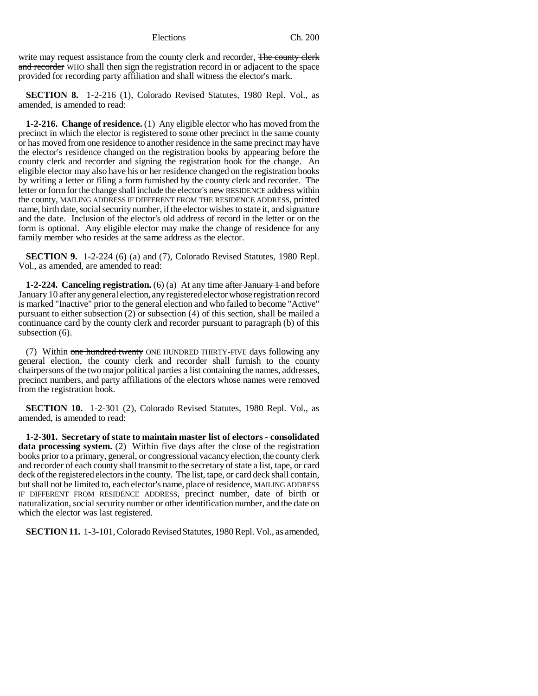write may request assistance from the county clerk and recorder, The county clerk and recorder WHO shall then sign the registration record in or adjacent to the space provided for recording party affiliation and shall witness the elector's mark.

**SECTION 8.** 1-2-216 (1), Colorado Revised Statutes, 1980 Repl. Vol., as amended, is amended to read:

**1-2-216. Change of residence.** (1) Any eligible elector who has moved from the precinct in which the elector is registered to some other precinct in the same county or has moved from one residence to another residence in the same precinct may have the elector's residence changed on the registration books by appearing before the county clerk and recorder and signing the registration book for the change. An eligible elector may also have his or her residence changed on the registration books by writing a letter or filing a form furnished by the county clerk and recorder. The letter or form for the change shall include the elector's new RESIDENCE address within the county, MAILING ADDRESS IF DIFFERENT FROM THE RESIDENCE ADDRESS, printed name, birth date, social security number, if the elector wishes to state it, and signature and the date. Inclusion of the elector's old address of record in the letter or on the form is optional. Any eligible elector may make the change of residence for any family member who resides at the same address as the elector.

**SECTION 9.** 1-2-224 (6) (a) and (7), Colorado Revised Statutes, 1980 Repl. Vol., as amended, are amended to read:

**1-2-224. Canceling registration.** (6) (a) At any time after January 1 and before January 10 after any general election, any registered elector whose registration record is marked "Inactive" prior to the general election and who failed to become "Active" pursuant to either subsection (2) or subsection (4) of this section, shall be mailed a continuance card by the county clerk and recorder pursuant to paragraph (b) of this subsection (6).

(7) Within one hundred twenty ONE HUNDRED THIRTY-FIVE days following any general election, the county clerk and recorder shall furnish to the county chairpersons of the two major political parties a list containing the names, addresses, precinct numbers, and party affiliations of the electors whose names were removed from the registration book.

**SECTION 10.** 1-2-301 (2), Colorado Revised Statutes, 1980 Repl. Vol., as amended, is amended to read:

**1-2-301. Secretary of state to maintain master list of electors - consolidated data processing system.** (2) Within five days after the close of the registration books prior to a primary, general, or congressional vacancy election, the county clerk and recorder of each county shall transmit to the secretary of state a list, tape, or card deck of the registered electors in the county. The list, tape, or card deck shall contain, but shall not be limited to, each elector's name, place of residence, MAILING ADDRESS IF DIFFERENT FROM RESIDENCE ADDRESS, precinct number, date of birth or naturalization, social security number or other identification number, and the date on which the elector was last registered.

**SECTION 11.** 1-3-101, Colorado Revised Statutes, 1980 Repl. Vol., as amended,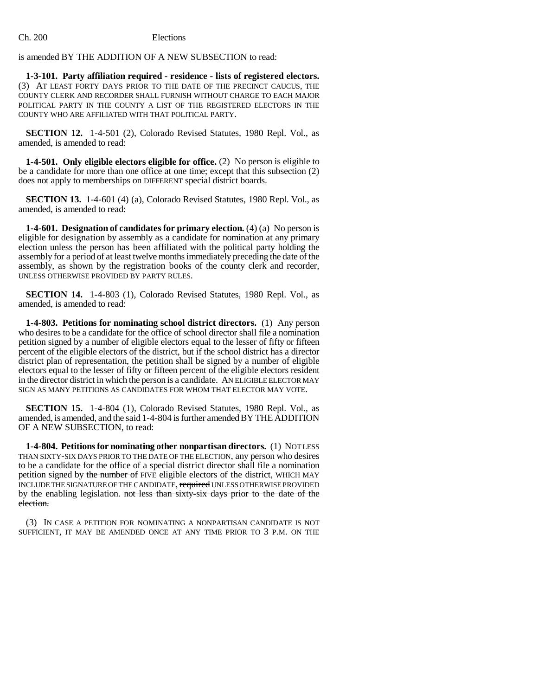# is amended BY THE ADDITION OF A NEW SUBSECTION to read:

**1-3-101. Party affiliation required - residence - lists of registered electors.** (3) AT LEAST FORTY DAYS PRIOR TO THE DATE OF THE PRECINCT CAUCUS, THE COUNTY CLERK AND RECORDER SHALL FURNISH WITHOUT CHARGE TO EACH MAJOR POLITICAL PARTY IN THE COUNTY A LIST OF THE REGISTERED ELECTORS IN THE COUNTY WHO ARE AFFILIATED WITH THAT POLITICAL PARTY.

**SECTION 12.** 1-4-501 (2), Colorado Revised Statutes, 1980 Repl. Vol., as amended, is amended to read:

**1-4-501. Only eligible electors eligible for office.** (2) No person is eligible to be a candidate for more than one office at one time; except that this subsection (2) does not apply to memberships on DIFFERENT special district boards.

**SECTION 13.** 1-4-601 (4) (a), Colorado Revised Statutes, 1980 Repl. Vol., as amended, is amended to read:

**1-4-601. Designation of candidates for primary election.** (4) (a) No person is eligible for designation by assembly as a candidate for nomination at any primary election unless the person has been affiliated with the political party holding the assembly for a period of at least twelve months immediately preceding the date of the assembly, as shown by the registration books of the county clerk and recorder, UNLESS OTHERWISE PROVIDED BY PARTY RULES.

**SECTION 14.** 1-4-803 (1), Colorado Revised Statutes, 1980 Repl. Vol., as amended, is amended to read:

**1-4-803. Petitions for nominating school district directors.** (1) Any person who desires to be a candidate for the office of school director shall file a nomination petition signed by a number of eligible electors equal to the lesser of fifty or fifteen percent of the eligible electors of the district, but if the school district has a director district plan of representation, the petition shall be signed by a number of eligible electors equal to the lesser of fifty or fifteen percent of the eligible electors resident in the director district in which the person is a candidate. AN ELIGIBLE ELECTOR MAY SIGN AS MANY PETITIONS AS CANDIDATES FOR WHOM THAT ELECTOR MAY VOTE.

**SECTION 15.** 1-4-804 (1), Colorado Revised Statutes, 1980 Repl. Vol., as amended, is amended, and the said 1-4-804 is further amended BY THE ADDITION OF A NEW SUBSECTION, to read:

**1-4-804. Petitions for nominating other nonpartisan directors.** (1) NOT LESS THAN SIXTY-SIX DAYS PRIOR TO THE DATE OF THE ELECTION, any person who desires to be a candidate for the office of a special district director shall file a nomination petition signed by the number of FIVE eligible electors of the district, WHICH MAY INCLUDE THE SIGNATURE OF THE CANDIDATE, required UNLESS OTHERWISE PROVIDED by the enabling legislation. not less than sixty-six days prior to the date of the election.

(3) IN CASE A PETITION FOR NOMINATING A NONPARTISAN CANDIDATE IS NOT SUFFICIENT, IT MAY BE AMENDED ONCE AT ANY TIME PRIOR TO 3 P.M. ON THE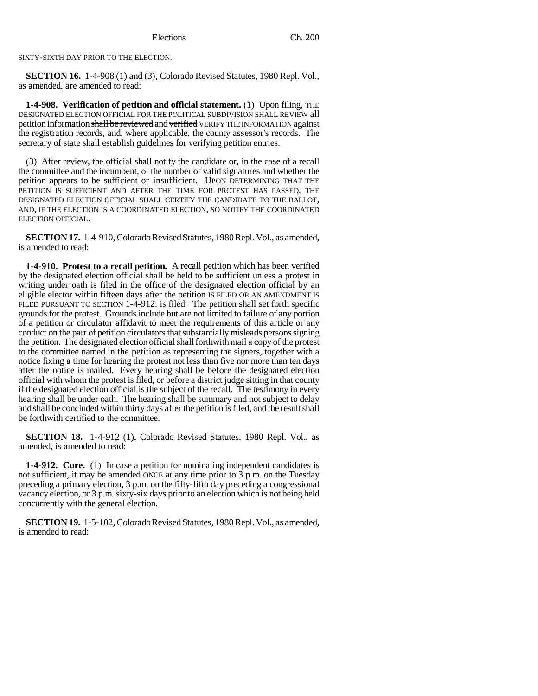SIXTY-SIXTH DAY PRIOR TO THE ELECTION.

**SECTION 16.** 1-4-908 (1) and (3), Colorado Revised Statutes, 1980 Repl. Vol., as amended, are amended to read:

**1-4-908. Verification of petition and official statement.** (1) Upon filing, THE DESIGNATED ELECTION OFFICIAL FOR THE POLITICAL SUBDIVISION SHALL REVIEW all petition information shall be reviewed and verified VERIFY THE INFORMATION against the registration records, and, where applicable, the county assessor's records. The secretary of state shall establish guidelines for verifying petition entries.

(3) After review, the official shall notify the candidate or, in the case of a recall the committee and the incumbent, of the number of valid signatures and whether the petition appears to be sufficient or insufficient. UPON DETERMINING THAT THE PETITION IS SUFFICIENT AND AFTER THE TIME FOR PROTEST HAS PASSED, THE DESIGNATED ELECTION OFFICIAL SHALL CERTIFY THE CANDIDATE TO THE BALLOT, AND, IF THE ELECTION IS A COORDINATED ELECTION, SO NOTIFY THE COORDINATED ELECTION OFFICIAL.

**SECTION 17.** 1-4-910, Colorado Revised Statutes, 1980 Repl. Vol., as amended, is amended to read:

**1-4-910. Protest to a recall petition.** A recall petition which has been verified by the designated election official shall be held to be sufficient unless a protest in writing under oath is filed in the office of the designated election official by an eligible elector within fifteen days after the petition IS FILED OR AN AMENDMENT IS FILED PURSUANT TO SECTION 1-4-912. is filed. The petition shall set forth specific grounds for the protest. Grounds include but are not limited to failure of any portion of a petition or circulator affidavit to meet the requirements of this article or any conduct on the part of petition circulators that substantially misleads persons signing the petition. The designated election official shall forthwith mail a copy of the protest to the committee named in the petition as representing the signers, together with a notice fixing a time for hearing the protest not less than five nor more than ten days after the notice is mailed. Every hearing shall be before the designated election official with whom the protest is filed, or before a district judge sitting in that county if the designated election official is the subject of the recall. The testimony in every hearing shall be under oath. The hearing shall be summary and not subject to delay and shall be concluded within thirty days after the petition is filed, and the result shall be forthwith certified to the committee.

**SECTION 18.** 1-4-912 (1), Colorado Revised Statutes, 1980 Repl. Vol., as amended, is amended to read:

**1-4-912. Cure.** (1) In case a petition for nominating independent candidates is not sufficient, it may be amended ONCE at any time prior to 3 p.m. on the Tuesday preceding a primary election, 3 p.m. on the fifty-fifth day preceding a congressional vacancy election, or 3 p.m. sixty-six days prior to an election which is not being held concurrently with the general election.

**SECTION 19.** 1-5-102, Colorado Revised Statutes, 1980 Repl. Vol., as amended, is amended to read: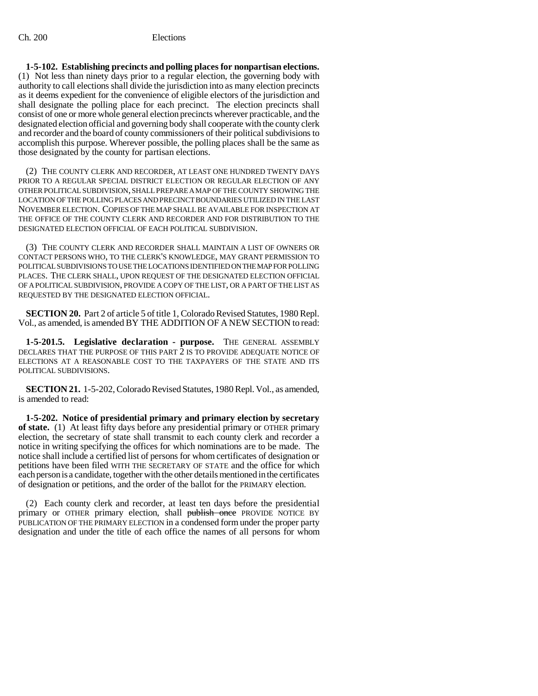**1-5-102. Establishing precincts and polling places for nonpartisan elections.** (1) Not less than ninety days prior to a regular election, the governing body with authority to call elections shall divide the jurisdiction into as many election precincts as it deems expedient for the convenience of eligible electors of the jurisdiction and shall designate the polling place for each precinct. The election precincts shall consist of one or more whole general election precincts wherever practicable, and the designated election official and governing body shall cooperate with the county clerk and recorder and the board of county commissioners of their political subdivisions to accomplish this purpose. Wherever possible, the polling places shall be the same as those designated by the county for partisan elections.

(2) THE COUNTY CLERK AND RECORDER, AT LEAST ONE HUNDRED TWENTY DAYS PRIOR TO A REGULAR SPECIAL DISTRICT ELECTION OR REGULAR ELECTION OF ANY OTHER POLITICAL SUBDIVISION, SHALL PREPARE A MAP OF THE COUNTY SHOWING THE LOCATION OF THE POLLING PLACES AND PRECINCT BOUNDARIES UTILIZED IN THE LAST NOVEMBER ELECTION. COPIES OF THE MAP SHALL BE AVAILABLE FOR INSPECTION AT THE OFFICE OF THE COUNTY CLERK AND RECORDER AND FOR DISTRIBUTION TO THE DESIGNATED ELECTION OFFICIAL OF EACH POLITICAL SUBDIVISION.

(3) THE COUNTY CLERK AND RECORDER SHALL MAINTAIN A LIST OF OWNERS OR CONTACT PERSONS WHO, TO THE CLERK'S KNOWLEDGE, MAY GRANT PERMISSION TO POLITICAL SUBDIVISIONS TO USE THE LOCATIONS IDENTIFIED ON THE MAP FOR POLLING PLACES. THE CLERK SHALL, UPON REQUEST OF THE DESIGNATED ELECTION OFFICIAL OF A POLITICAL SUBDIVISION, PROVIDE A COPY OF THE LIST, OR A PART OF THE LIST AS REQUESTED BY THE DESIGNATED ELECTION OFFICIAL.

**SECTION 20.** Part 2 of article 5 of title 1, Colorado Revised Statutes, 1980 Repl. Vol., as amended, is amended BY THE ADDITION OF A NEW SECTION to read:

**1-5-201.5. Legislative declaration - purpose.** THE GENERAL ASSEMBLY DECLARES THAT THE PURPOSE OF THIS PART 2 IS TO PROVIDE ADEQUATE NOTICE OF ELECTIONS AT A REASONABLE COST TO THE TAXPAYERS OF THE STATE AND ITS POLITICAL SUBDIVISIONS.

**SECTION 21.** 1-5-202, Colorado Revised Statutes, 1980 Repl. Vol., as amended, is amended to read:

**1-5-202. Notice of presidential primary and primary election by secretary of state.** (1) At least fifty days before any presidential primary or OTHER primary election, the secretary of state shall transmit to each county clerk and recorder a notice in writing specifying the offices for which nominations are to be made. The notice shall include a certified list of persons for whom certificates of designation or petitions have been filed WITH THE SECRETARY OF STATE and the office for which each person is a candidate, together with the other details mentioned in the certificates of designation or petitions, and the order of the ballot for the PRIMARY election.

(2) Each county clerk and recorder, at least ten days before the presidential primary or OTHER primary election, shall publish once PROVIDE NOTICE BY PUBLICATION OF THE PRIMARY ELECTION in a condensed form under the proper party designation and under the title of each office the names of all persons for whom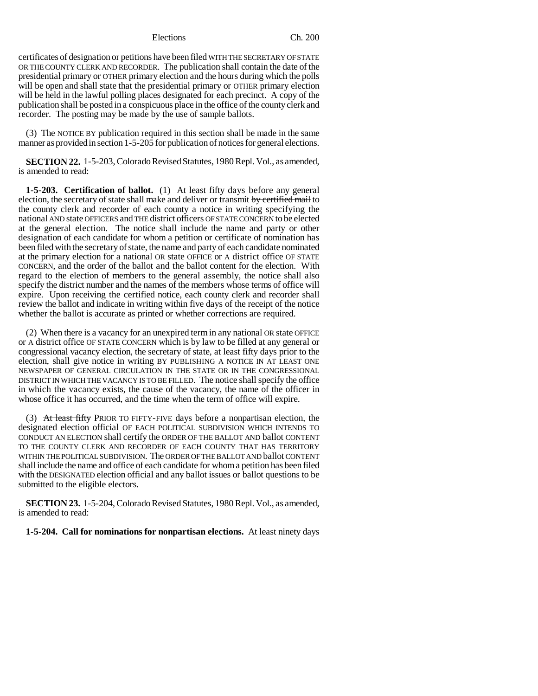certificates of designation or petitions have been filed WITH THE SECRETARY OF STATE OR THE COUNTY CLERK AND RECORDER. The publication shall contain the date of the presidential primary or OTHER primary election and the hours during which the polls will be open and shall state that the presidential primary or OTHER primary election will be held in the lawful polling places designated for each precinct. A copy of the publication shall be posted in a conspicuous place in the office of the county clerk and recorder. The posting may be made by the use of sample ballots.

(3) The NOTICE BY publication required in this section shall be made in the same manner as provided in section 1-5-205 for publication of notices for general elections.

**SECTION 22.** 1-5-203, Colorado Revised Statutes, 1980 Repl. Vol., as amended, is amended to read:

**1-5-203. Certification of ballot.** (1) At least fifty days before any general election, the secretary of state shall make and deliver or transmit by certified mail to the county clerk and recorder of each county a notice in writing specifying the national AND state OFFICERS and THE district officers OF STATE CONCERN to be elected at the general election. The notice shall include the name and party or other designation of each candidate for whom a petition or certificate of nomination has been filed with the secretary of state, the name and party of each candidate nominated at the primary election for a national OR state OFFICE or A district office OF STATE CONCERN, and the order of the ballot and the ballot content for the election. With regard to the election of members to the general assembly, the notice shall also specify the district number and the names of the members whose terms of office will expire. Upon receiving the certified notice, each county clerk and recorder shall review the ballot and indicate in writing within five days of the receipt of the notice whether the ballot is accurate as printed or whether corrections are required.

(2) When there is a vacancy for an unexpired term in any national OR state OFFICE or A district office OF STATE CONCERN which is by law to be filled at any general or congressional vacancy election, the secretary of state, at least fifty days prior to the election, shall give notice in writing BY PUBLISHING A NOTICE IN AT LEAST ONE NEWSPAPER OF GENERAL CIRCULATION IN THE STATE OR IN THE CONGRESSIONAL DISTRICT IN WHICH THE VACANCY IS TO BE FILLED. The notice shall specify the office in which the vacancy exists, the cause of the vacancy, the name of the officer in whose office it has occurred, and the time when the term of office will expire.

(3) At least fifty PRIOR TO FIFTY-FIVE days before a nonpartisan election, the designated election official OF EACH POLITICAL SUBDIVISION WHICH INTENDS TO CONDUCT AN ELECTION shall certify the ORDER OF THE BALLOT AND ballot CONTENT TO THE COUNTY CLERK AND RECORDER OF EACH COUNTY THAT HAS TERRITORY WITHIN THE POLITICAL SUBDIVISION. The ORDER OF THE BALLOT AND ballot CONTENT shall include the name and office of each candidate for whom a petition has been filed with the DESIGNATED election official and any ballot issues or ballot questions to be submitted to the eligible electors.

**SECTION 23.** 1-5-204, Colorado Revised Statutes, 1980 Repl. Vol., as amended, is amended to read:

**1-5-204. Call for nominations for nonpartisan elections.** At least ninety days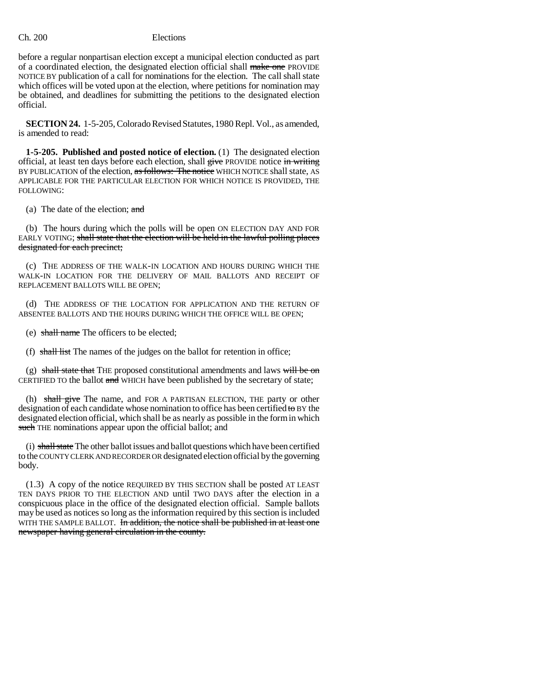before a regular nonpartisan election except a municipal election conducted as part of a coordinated election, the designated election official shall make one PROVIDE NOTICE BY publication of a call for nominations for the election. The call shall state which offices will be voted upon at the election, where petitions for nomination may be obtained, and deadlines for submitting the petitions to the designated election official.

**SECTION 24.** 1-5-205, Colorado Revised Statutes, 1980 Repl. Vol., as amended, is amended to read:

**1-5-205. Published and posted notice of election.** (1) The designated election official, at least ten days before each election, shall give PROVIDE notice in writing BY PUBLICATION of the election, as follows: The notice WHICH NOTICE shall state, AS APPLICABLE FOR THE PARTICULAR ELECTION FOR WHICH NOTICE IS PROVIDED, THE FOLLOWING:

(a) The date of the election; and

(b) The hours during which the polls will be open ON ELECTION DAY AND FOR EARLY VOTING; shall state that the election will be held in the lawful polling places designated for each precinct;

(c) THE ADDRESS OF THE WALK-IN LOCATION AND HOURS DURING WHICH THE WALK-IN LOCATION FOR THE DELIVERY OF MAIL BALLOTS AND RECEIPT OF REPLACEMENT BALLOTS WILL BE OPEN;

(d) THE ADDRESS OF THE LOCATION FOR APPLICATION AND THE RETURN OF ABSENTEE BALLOTS AND THE HOURS DURING WHICH THE OFFICE WILL BE OPEN;

(e) shall name The officers to be elected;

(f) shall list The names of the judges on the ballot for retention in office;

(g) shall state that THE proposed constitutional amendments and laws will be on CERTIFIED TO the ballot and WHICH have been published by the secretary of state;

(h) shall give The name, and FOR A PARTISAN ELECTION, THE party or other designation of each candidate whose nomination to office has been certified to BY the designated election official, which shall be as nearly as possible in the form in which such THE nominations appear upon the official ballot; and

(i) shall state The other ballot issues and ballot questions which have been certified to the COUNTY CLERK AND RECORDER OR designated election official by the governing body.

(1.3) A copy of the notice REQUIRED BY THIS SECTION shall be posted AT LEAST TEN DAYS PRIOR TO THE ELECTION AND until TWO DAYS after the election in a conspicuous place in the office of the designated election official. Sample ballots may be used as notices so long as the information required by this section is included WITH THE SAMPLE BALLOT. In addition, the notice shall be published in at least one newspaper having general circulation in the county.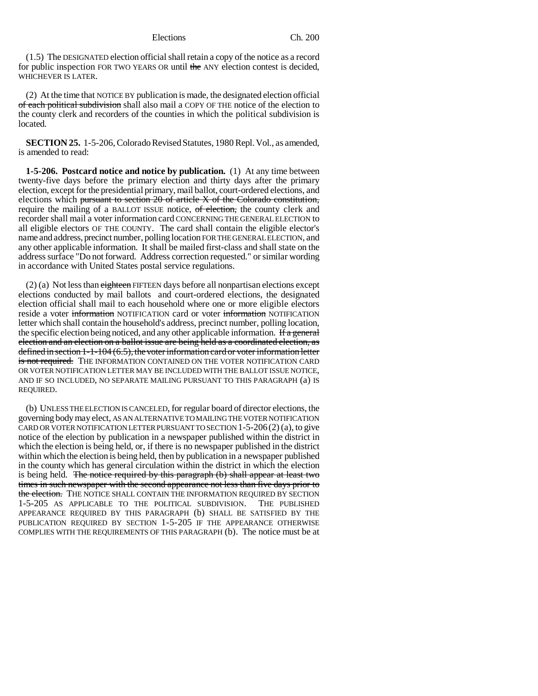(1.5) The DESIGNATED election official shall retain a copy of the notice as a record for public inspection FOR TWO YEARS OR until the ANY election contest is decided, WHICHEVER IS LATER.

(2) At the time that NOTICE BY publication is made, the designated election official of each political subdivision shall also mail a COPY OF THE notice of the election to the county clerk and recorders of the counties in which the political subdivision is located.

**SECTION 25.** 1-5-206, Colorado Revised Statutes, 1980 Repl. Vol., as amended, is amended to read:

**1-5-206. Postcard notice and notice by publication.** (1) At any time between twenty-five days before the primary election and thirty days after the primary election, except for the presidential primary, mail ballot, court-ordered elections, and elections which pursuant to section 20 of article X of the Colorado constitution, require the mailing of a BALLOT ISSUE notice, of election, the county clerk and recorder shall mail a voter information card CONCERNING THE GENERAL ELECTION to all eligible electors OF THE COUNTY. The card shall contain the eligible elector's name and address, precinct number, polling location FOR THE GENERAL ELECTION, and any other applicable information. It shall be mailed first-class and shall state on the address surface "Do not forward. Address correction requested." or similar wording in accordance with United States postal service regulations.

 $(2)$  (a) Not less than eighteen FIFTEEN days before all nonpartisan elections except elections conducted by mail ballots and court-ordered elections, the designated election official shall mail to each household where one or more eligible electors reside a voter information NOTIFICATION card or voter information NOTIFICATION letter which shall contain the household's address, precinct number, polling location, the specific election being noticed, and any other applicable information. If a general election and an election on a ballot issue are being held as a coordinated election, as defined in section 1-1-104 (6.5), the voter information card or voter information letter is not required. THE INFORMATION CONTAINED ON THE VOTER NOTIFICATION CARD OR VOTER NOTIFICATION LETTER MAY BE INCLUDED WITH THE BALLOT ISSUE NOTICE, AND IF SO INCLUDED, NO SEPARATE MAILING PURSUANT TO THIS PARAGRAPH (a) IS REQUIRED.

(b) UNLESS THE ELECTION IS CANCELED, for regular board of director elections, the governing body may elect, AS AN ALTERNATIVE TO MAILING THE VOTER NOTIFICATION CARD OR VOTER NOTIFICATION LETTER PURSUANT TO SECTION 1-5-206(2) (a), to give notice of the election by publication in a newspaper published within the district in which the election is being held, or, if there is no newspaper published in the district within which the election is being held, then by publication in a newspaper published in the county which has general circulation within the district in which the election is being held. The notice required by this paragraph (b) shall appear at least two times in such newspaper with the second appearance not less than five days prior to the election. THE NOTICE SHALL CONTAIN THE INFORMATION REQUIRED BY SECTION 1-5-205 AS APPLICABLE TO THE POLITICAL SUBDIVISION. THE PUBLISHED APPEARANCE REQUIRED BY THIS PARAGRAPH (b) SHALL BE SATISFIED BY THE PUBLICATION REQUIRED BY SECTION 1-5-205 IF THE APPEARANCE OTHERWISE COMPLIES WITH THE REQUIREMENTS OF THIS PARAGRAPH (b). The notice must be at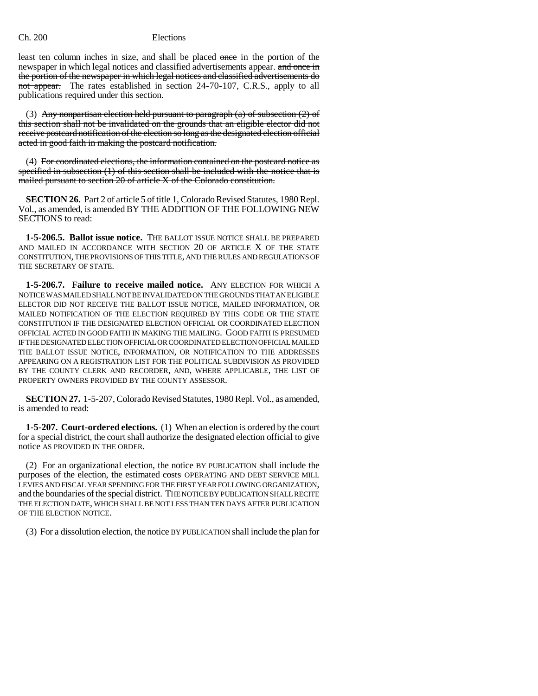least ten column inches in size, and shall be placed once in the portion of the newspaper in which legal notices and classified advertisements appear. and once in the portion of the newspaper in which legal notices and classified advertisements do not appear. The rates established in section 24-70-107, C.R.S., apply to all publications required under this section.

(3) Any nonpartisan election held pursuant to paragraph  $(a)$  of subsection  $(2)$  of this section shall not be invalidated on the grounds that an eligible elector did not receive postcard notification of the election so long as the designated election official acted in good faith in making the postcard notification.

(4) For coordinated elections, the information contained on the postcard notice as specified in subsection (1) of this section shall be included with the notice that is mailed pursuant to section 20 of article X of the Colorado constitution.

**SECTION 26.** Part 2 of article 5 of title 1, Colorado Revised Statutes, 1980 Repl. Vol., as amended, is amended BY THE ADDITION OF THE FOLLOWING NEW SECTIONS to read:

**1-5-206.5. Ballot issue notice.** THE BALLOT ISSUE NOTICE SHALL BE PREPARED AND MAILED IN ACCORDANCE WITH SECTION 20 OF ARTICLE X OF THE STATE CONSTITUTION, THE PROVISIONS OF THIS TITLE, AND THE RULES AND REGULATIONS OF THE SECRETARY OF STATE.

**1-5-206.7. Failure to receive mailed notice.** ANY ELECTION FOR WHICH A NOTICE WAS MAILED SHALL NOT BE INVALIDATED ON THE GROUNDS THAT AN ELIGIBLE ELECTOR DID NOT RECEIVE THE BALLOT ISSUE NOTICE, MAILED INFORMATION, OR MAILED NOTIFICATION OF THE ELECTION REQUIRED BY THIS CODE OR THE STATE CONSTITUTION IF THE DESIGNATED ELECTION OFFICIAL OR COORDINATED ELECTION OFFICIAL ACTED IN GOOD FAITH IN MAKING THE MAILING. GOOD FAITH IS PRESUMED IF THE DESIGNATED ELECTION OFFICIAL OR COORDINATED ELECTION OFFICIAL MAILED THE BALLOT ISSUE NOTICE, INFORMATION, OR NOTIFICATION TO THE ADDRESSES APPEARING ON A REGISTRATION LIST FOR THE POLITICAL SUBDIVISION AS PROVIDED BY THE COUNTY CLERK AND RECORDER, AND, WHERE APPLICABLE, THE LIST OF PROPERTY OWNERS PROVIDED BY THE COUNTY ASSESSOR.

**SECTION 27.** 1-5-207, Colorado Revised Statutes, 1980 Repl. Vol., as amended, is amended to read:

**1-5-207. Court-ordered elections.** (1) When an election is ordered by the court for a special district, the court shall authorize the designated election official to give notice AS PROVIDED IN THE ORDER.

(2) For an organizational election, the notice BY PUBLICATION shall include the purposes of the election, the estimated costs OPERATING AND DEBT SERVICE MILL LEVIES AND FISCAL YEAR SPENDING FOR THE FIRST YEAR FOLLOWING ORGANIZATION, and the boundaries of the special district. THE NOTICE BY PUBLICATION SHALL RECITE THE ELECTION DATE, WHICH SHALL BE NOT LESS THAN TEN DAYS AFTER PUBLICATION OF THE ELECTION NOTICE.

(3) For a dissolution election, the notice BY PUBLICATION shall include the plan for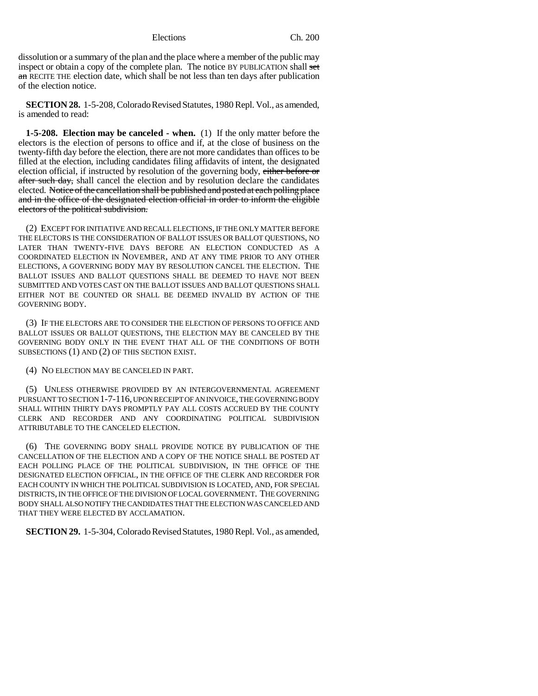dissolution or a summary of the plan and the place where a member of the public may inspect or obtain a copy of the complete plan. The notice BY PUBLICATION shall set an RECITE THE election date, which shall be not less than ten days after publication of the election notice.

**SECTION 28.** 1-5-208, Colorado Revised Statutes, 1980 Repl. Vol., as amended, is amended to read:

**1-5-208. Election may be canceled - when.** (1) If the only matter before the electors is the election of persons to office and if, at the close of business on the twenty-fifth day before the election, there are not more candidates than offices to be filled at the election, including candidates filing affidavits of intent, the designated election official, if instructed by resolution of the governing body, either before or after such day, shall cancel the election and by resolution declare the candidates elected. Notice of the cancellation shall be published and posted at each polling place and in the office of the designated election official in order to inform the eligible electors of the political subdivision.

(2) EXCEPT FOR INITIATIVE AND RECALL ELECTIONS, IF THE ONLY MATTER BEFORE THE ELECTORS IS THE CONSIDERATION OF BALLOT ISSUES OR BALLOT QUESTIONS, NO LATER THAN TWENTY-FIVE DAYS BEFORE AN ELECTION CONDUCTED AS A COORDINATED ELECTION IN NOVEMBER, AND AT ANY TIME PRIOR TO ANY OTHER ELECTIONS, A GOVERNING BODY MAY BY RESOLUTION CANCEL THE ELECTION. THE BALLOT ISSUES AND BALLOT QUESTIONS SHALL BE DEEMED TO HAVE NOT BEEN SUBMITTED AND VOTES CAST ON THE BALLOT ISSUES AND BALLOT QUESTIONS SHALL EITHER NOT BE COUNTED OR SHALL BE DEEMED INVALID BY ACTION OF THE GOVERNING BODY.

(3) IF THE ELECTORS ARE TO CONSIDER THE ELECTION OF PERSONS TO OFFICE AND BALLOT ISSUES OR BALLOT QUESTIONS, THE ELECTION MAY BE CANCELED BY THE GOVERNING BODY ONLY IN THE EVENT THAT ALL OF THE CONDITIONS OF BOTH SUBSECTIONS (1) AND (2) OF THIS SECTION EXIST.

(4) NO ELECTION MAY BE CANCELED IN PART.

(5) UNLESS OTHERWISE PROVIDED BY AN INTERGOVERNMENTAL AGREEMENT PURSUANT TO SECTION 1-7-116, UPON RECEIPT OF AN INVOICE, THE GOVERNING BODY SHALL WITHIN THIRTY DAYS PROMPTLY PAY ALL COSTS ACCRUED BY THE COUNTY CLERK AND RECORDER AND ANY COORDINATING POLITICAL SUBDIVISION ATTRIBUTABLE TO THE CANCELED ELECTION.

(6) THE GOVERNING BODY SHALL PROVIDE NOTICE BY PUBLICATION OF THE CANCELLATION OF THE ELECTION AND A COPY OF THE NOTICE SHALL BE POSTED AT EACH POLLING PLACE OF THE POLITICAL SUBDIVISION, IN THE OFFICE OF THE DESIGNATED ELECTION OFFICIAL, IN THE OFFICE OF THE CLERK AND RECORDER FOR EACH COUNTY IN WHICH THE POLITICAL SUBDIVISION IS LOCATED, AND, FOR SPECIAL DISTRICTS, IN THE OFFICE OF THE DIVISION OF LOCAL GOVERNMENT. THE GOVERNING BODY SHALL ALSO NOTIFY THE CANDIDATES THAT THE ELECTION WAS CANCELED AND THAT THEY WERE ELECTED BY ACCLAMATION.

**SECTION 29.** 1-5-304, Colorado Revised Statutes, 1980 Repl. Vol., as amended,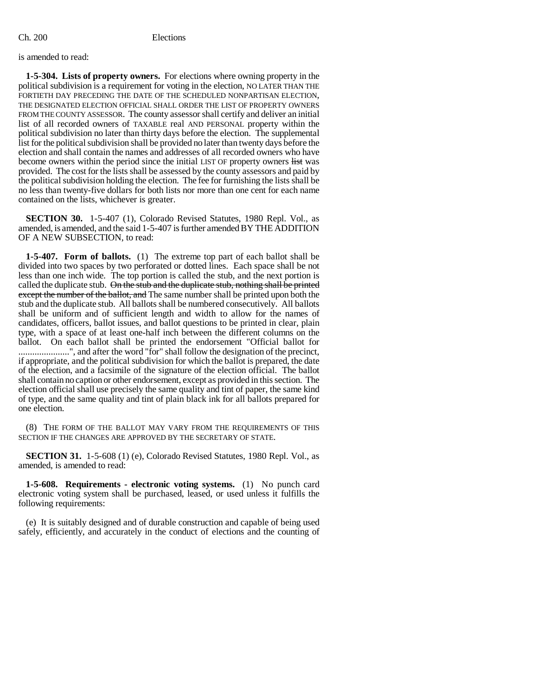is amended to read:

**1-5-304. Lists of property owners.** For elections where owning property in the political subdivision is a requirement for voting in the election, NO LATER THAN THE FORTIETH DAY PRECEDING THE DATE OF THE SCHEDULED NONPARTISAN ELECTION, THE DESIGNATED ELECTION OFFICIAL SHALL ORDER THE LIST OF PROPERTY OWNERS FROM THE COUNTY ASSESSOR. The county assessor shall certify and deliver an initial list of all recorded owners of TAXABLE real AND PERSONAL property within the political subdivision no later than thirty days before the election. The supplemental list for the political subdivision shall be provided no later than twenty days before the election and shall contain the names and addresses of all recorded owners who have become owners within the period since the initial LIST OF property owners list was provided. The cost for the lists shall be assessed by the county assessors and paid by the political subdivision holding the election. The fee for furnishing the lists shall be no less than twenty-five dollars for both lists nor more than one cent for each name contained on the lists, whichever is greater.

**SECTION 30.** 1-5-407 (1), Colorado Revised Statutes, 1980 Repl. Vol., as amended, is amended, and the said 1-5-407 is further amended BY THE ADDITION OF A NEW SUBSECTION, to read:

**1-5-407. Form of ballots.** (1) The extreme top part of each ballot shall be divided into two spaces by two perforated or dotted lines. Each space shall be not less than one inch wide. The top portion is called the stub, and the next portion is called the duplicate stub. On the stub and the duplicate stub, nothing shall be printed except the number of the ballot, and The same number shall be printed upon both the stub and the duplicate stub. All ballots shall be numbered consecutively. All ballots shall be uniform and of sufficient length and width to allow for the names of candidates, officers, ballot issues, and ballot questions to be printed in clear, plain type, with a space of at least one-half inch between the different columns on the ballot. On each ballot shall be printed the endorsement "Official ballot for .......................", and after the word "for" shall follow the designation of the precinct, if appropriate, and the political subdivision for which the ballot is prepared, the date of the election, and a facsimile of the signature of the election official. The ballot shall contain no caption or other endorsement, except as provided in this section. The election official shall use precisely the same quality and tint of paper, the same kind of type, and the same quality and tint of plain black ink for all ballots prepared for one election.

(8) THE FORM OF THE BALLOT MAY VARY FROM THE REQUIREMENTS OF THIS SECTION IF THE CHANGES ARE APPROVED BY THE SECRETARY OF STATE.

**SECTION 31.** 1-5-608 (1) (e), Colorado Revised Statutes, 1980 Repl. Vol., as amended, is amended to read:

**1-5-608. Requirements - electronic voting systems.** (1) No punch card electronic voting system shall be purchased, leased, or used unless it fulfills the following requirements:

(e) It is suitably designed and of durable construction and capable of being used safely, efficiently, and accurately in the conduct of elections and the counting of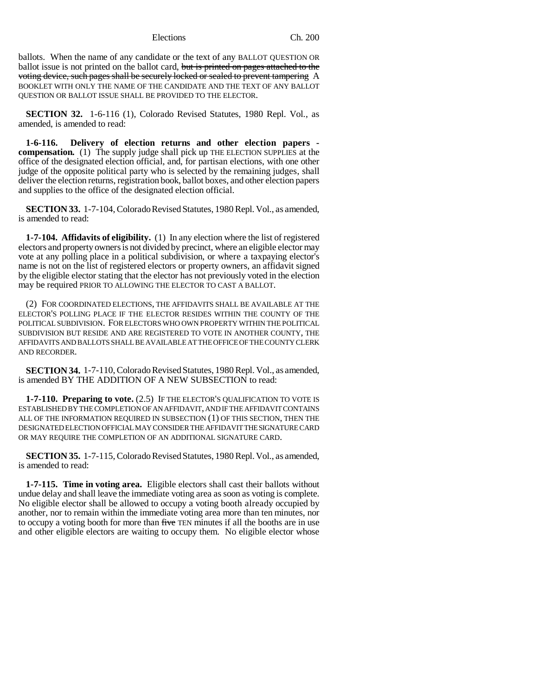ballots. When the name of any candidate or the text of any BALLOT QUESTION OR ballot issue is not printed on the ballot card, but is printed on pages attached to the voting device, such pages shall be securely locked or sealed to prevent tampering A BOOKLET WITH ONLY THE NAME OF THE CANDIDATE AND THE TEXT OF ANY BALLOT QUESTION OR BALLOT ISSUE SHALL BE PROVIDED TO THE ELECTOR.

**SECTION 32.** 1-6-116 (1), Colorado Revised Statutes, 1980 Repl. Vol., as amended, is amended to read:

**1-6-116. Delivery of election returns and other election papers compensation.** (1) The supply judge shall pick up THE ELECTION SUPPLIES at the office of the designated election official, and, for partisan elections, with one other judge of the opposite political party who is selected by the remaining judges, shall deliver the election returns, registration book, ballot boxes, and other election papers and supplies to the office of the designated election official.

**SECTION 33.** 1-7-104, Colorado Revised Statutes, 1980 Repl. Vol., as amended, is amended to read:

**1-7-104. Affidavits of eligibility.** (1) In any election where the list of registered electors and property owners is not divided by precinct, where an eligible elector may vote at any polling place in a political subdivision, or where a taxpaying elector's name is not on the list of registered electors or property owners, an affidavit signed by the eligible elector stating that the elector has not previously voted in the election may be required PRIOR TO ALLOWING THE ELECTOR TO CAST A BALLOT.

(2) FOR COORDINATED ELECTIONS, THE AFFIDAVITS SHALL BE AVAILABLE AT THE ELECTOR'S POLLING PLACE IF THE ELECTOR RESIDES WITHIN THE COUNTY OF THE POLITICAL SUBDIVISION. FOR ELECTORS WHO OWN PROPERTY WITHIN THE POLITICAL SUBDIVISION BUT RESIDE AND ARE REGISTERED TO VOTE IN ANOTHER COUNTY, THE AFFIDAVITS AND BALLOTS SHALL BE AVAILABLE AT THE OFFICE OF THE COUNTY CLERK AND RECORDER.

**SECTION 34.** 1-7-110, Colorado Revised Statutes, 1980 Repl. Vol., as amended, is amended BY THE ADDITION OF A NEW SUBSECTION to read:

**1-7-110. Preparing to vote.** (2.5) IF THE ELECTOR'S QUALIFICATION TO VOTE IS ESTABLISHED BY THE COMPLETION OF AN AFFIDAVIT, AND IF THE AFFIDAVIT CONTAINS ALL OF THE INFORMATION REQUIRED IN SUBSECTION (1) OF THIS SECTION, THEN THE DESIGNATED ELECTION OFFICIAL MAY CONSIDER THE AFFIDAVIT THE SIGNATURE CARD OR MAY REQUIRE THE COMPLETION OF AN ADDITIONAL SIGNATURE CARD.

**SECTION 35.** 1-7-115, Colorado Revised Statutes, 1980 Repl. Vol., as amended, is amended to read:

**1-7-115. Time in voting area.** Eligible electors shall cast their ballots without undue delay and shall leave the immediate voting area as soon as voting is complete. No eligible elector shall be allowed to occupy a voting booth already occupied by another, nor to remain within the immediate voting area more than ten minutes, nor to occupy a voting booth for more than five TEN minutes if all the booths are in use and other eligible electors are waiting to occupy them. No eligible elector whose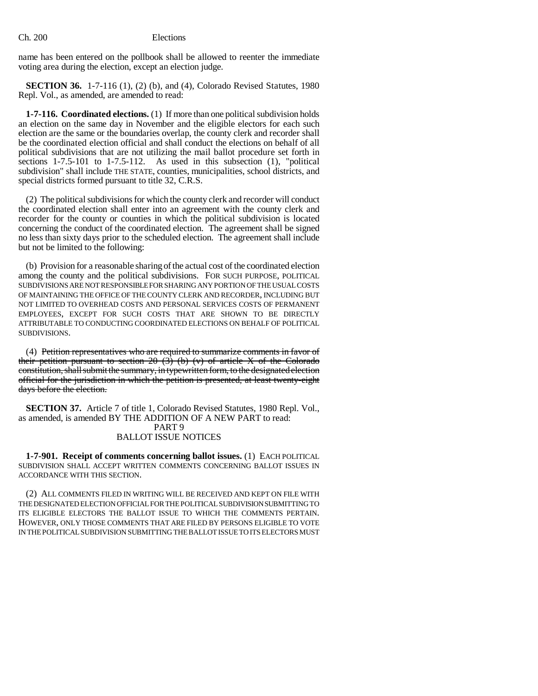name has been entered on the pollbook shall be allowed to reenter the immediate voting area during the election, except an election judge.

**SECTION 36.** 1-7-116 (1), (2) (b), and (4), Colorado Revised Statutes, 1980 Repl. Vol., as amended, are amended to read:

**1-7-116. Coordinated elections.** (1) If more than one political subdivision holds an election on the same day in November and the eligible electors for each such election are the same or the boundaries overlap, the county clerk and recorder shall be the coordinated election official and shall conduct the elections on behalf of all political subdivisions that are not utilizing the mail ballot procedure set forth in sections 1-7.5-101 to 1-7.5-112. As used in this subsection (1), "political subdivision" shall include THE STATE, counties, municipalities, school districts, and special districts formed pursuant to title 32, C.R.S.

(2) The political subdivisions for which the county clerk and recorder will conduct the coordinated election shall enter into an agreement with the county clerk and recorder for the county or counties in which the political subdivision is located concerning the conduct of the coordinated election. The agreement shall be signed no less than sixty days prior to the scheduled election. The agreement shall include but not be limited to the following:

(b) Provision for a reasonable sharing of the actual cost of the coordinated election among the county and the political subdivisions. FOR SUCH PURPOSE, POLITICAL SUBDIVISIONS ARE NOT RESPONSIBLE FOR SHARING ANY PORTION OF THE USUAL COSTS OF MAINTAINING THE OFFICE OF THE COUNTY CLERK AND RECORDER, INCLUDING BUT NOT LIMITED TO OVERHEAD COSTS AND PERSONAL SERVICES COSTS OF PERMANENT EMPLOYEES, EXCEPT FOR SUCH COSTS THAT ARE SHOWN TO BE DIRECTLY ATTRIBUTABLE TO CONDUCTING COORDINATED ELECTIONS ON BEHALF OF POLITICAL SUBDIVISIONS.

(4) Petition representatives who are required to summarize comments in favor of their petition pursuant to section  $20$  (3) (b) (v) of article X of the Colorado constitution, shall submit the summary, in typewritten form, to the designated election official for the jurisdiction in which the petition is presented, at least twenty-eight days before the election.

**SECTION 37.** Article 7 of title 1, Colorado Revised Statutes, 1980 Repl. Vol., as amended, is amended BY THE ADDITION OF A NEW PART to read: PART 9 BALLOT ISSUE NOTICES

**1-7-901. Receipt of comments concerning ballot issues.** (1) EACH POLITICAL SUBDIVISION SHALL ACCEPT WRITTEN COMMENTS CONCERNING BALLOT ISSUES IN ACCORDANCE WITH THIS SECTION.

(2) ALL COMMENTS FILED IN WRITING WILL BE RECEIVED AND KEPT ON FILE WITH THE DESIGNATED ELECTION OFFICIAL FOR THE POLITICAL SUBDIVISION SUBMITTING TO ITS ELIGIBLE ELECTORS THE BALLOT ISSUE TO WHICH THE COMMENTS PERTAIN. HOWEVER, ONLY THOSE COMMENTS THAT ARE FILED BY PERSONS ELIGIBLE TO VOTE IN THE POLITICAL SUBDIVISION SUBMITTING THE BALLOT ISSUE TO ITS ELECTORS MUST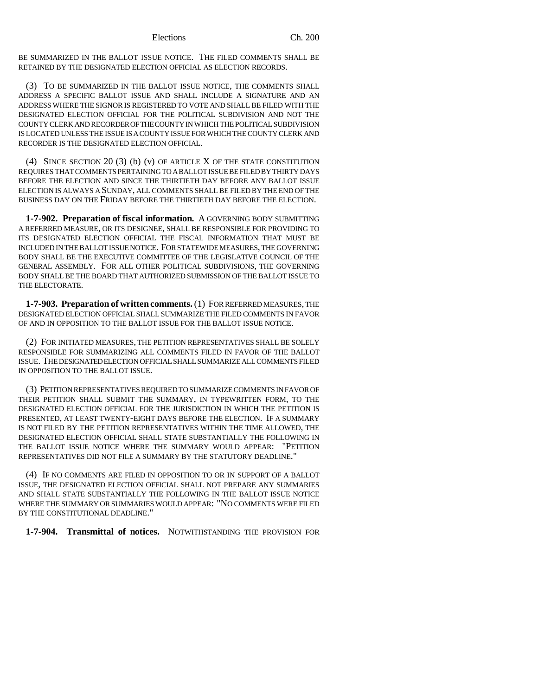BE SUMMARIZED IN THE BALLOT ISSUE NOTICE. THE FILED COMMENTS SHALL BE RETAINED BY THE DESIGNATED ELECTION OFFICIAL AS ELECTION RECORDS.

(3) TO BE SUMMARIZED IN THE BALLOT ISSUE NOTICE, THE COMMENTS SHALL ADDRESS A SPECIFIC BALLOT ISSUE AND SHALL INCLUDE A SIGNATURE AND AN ADDRESS WHERE THE SIGNOR IS REGISTERED TO VOTE AND SHALL BE FILED WITH THE DESIGNATED ELECTION OFFICIAL FOR THE POLITICAL SUBDIVISION AND NOT THE COUNTY CLERK AND RECORDER OF THE COUNTY IN WHICH THE POLITICAL SUBDIVISION IS LOCATED UNLESS THE ISSUE IS A COUNTY ISSUE FOR WHICH THE COUNTY CLERK AND RECORDER IS THE DESIGNATED ELECTION OFFICIAL.

(4) SINCE SECTION 20 (3) (b) (v) OF ARTICLE X OF THE STATE CONSTITUTION REQUIRES THAT COMMENTS PERTAINING TO A BALLOT ISSUE BE FILED BY THIRTY DAYS BEFORE THE ELECTION AND SINCE THE THIRTIETH DAY BEFORE ANY BALLOT ISSUE ELECTION IS ALWAYS A SUNDAY, ALL COMMENTS SHALL BE FILED BY THE END OF THE BUSINESS DAY ON THE FRIDAY BEFORE THE THIRTIETH DAY BEFORE THE ELECTION.

**1-7-902. Preparation of fiscal information.** A GOVERNING BODY SUBMITTING A REFERRED MEASURE, OR ITS DESIGNEE, SHALL BE RESPONSIBLE FOR PROVIDING TO ITS DESIGNATED ELECTION OFFICIAL THE FISCAL INFORMATION THAT MUST BE INCLUDED IN THE BALLOT ISSUE NOTICE. FOR STATEWIDE MEASURES, THE GOVERNING BODY SHALL BE THE EXECUTIVE COMMITTEE OF THE LEGISLATIVE COUNCIL OF THE GENERAL ASSEMBLY. FOR ALL OTHER POLITICAL SUBDIVISIONS, THE GOVERNING BODY SHALL BE THE BOARD THAT AUTHORIZED SUBMISSION OF THE BALLOT ISSUE TO THE ELECTORATE.

**1-7-903. Preparation of written comments.** (1) FOR REFERRED MEASURES, THE DESIGNATED ELECTION OFFICIAL SHALL SUMMARIZE THE FILED COMMENTS IN FAVOR OF AND IN OPPOSITION TO THE BALLOT ISSUE FOR THE BALLOT ISSUE NOTICE.

(2) FOR INITIATED MEASURES, THE PETITION REPRESENTATIVES SHALL BE SOLELY RESPONSIBLE FOR SUMMARIZING ALL COMMENTS FILED IN FAVOR OF THE BALLOT ISSUE. THE DESIGNATED ELECTION OFFICIAL SHALL SUMMARIZE ALL COMMENTS FILED IN OPPOSITION TO THE BALLOT ISSUE.

(3) PETITION REPRESENTATIVES REQUIRED TO SUMMARIZE COMMENTS IN FAVOR OF THEIR PETITION SHALL SUBMIT THE SUMMARY, IN TYPEWRITTEN FORM, TO THE DESIGNATED ELECTION OFFICIAL FOR THE JURISDICTION IN WHICH THE PETITION IS PRESENTED, AT LEAST TWENTY-EIGHT DAYS BEFORE THE ELECTION. IF A SUMMARY IS NOT FILED BY THE PETITION REPRESENTATIVES WITHIN THE TIME ALLOWED, THE DESIGNATED ELECTION OFFICIAL SHALL STATE SUBSTANTIALLY THE FOLLOWING IN THE BALLOT ISSUE NOTICE WHERE THE SUMMARY WOULD APPEAR: "PETITION REPRESENTATIVES DID NOT FILE A SUMMARY BY THE STATUTORY DEADLINE."

(4) IF NO COMMENTS ARE FILED IN OPPOSITION TO OR IN SUPPORT OF A BALLOT ISSUE, THE DESIGNATED ELECTION OFFICIAL SHALL NOT PREPARE ANY SUMMARIES AND SHALL STATE SUBSTANTIALLY THE FOLLOWING IN THE BALLOT ISSUE NOTICE WHERE THE SUMMARY OR SUMMARIES WOULD APPEAR: "NO COMMENTS WERE FILED BY THE CONSTITUTIONAL DEADLINE."

**1-7-904. Transmittal of notices.** NOTWITHSTANDING THE PROVISION FOR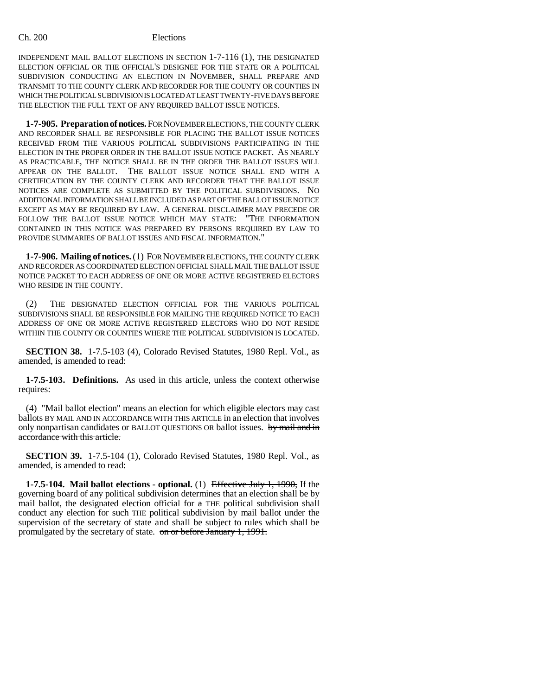INDEPENDENT MAIL BALLOT ELECTIONS IN SECTION 1-7-116 (1), THE DESIGNATED ELECTION OFFICIAL OR THE OFFICIAL'S DESIGNEE FOR THE STATE OR A POLITICAL SUBDIVISION CONDUCTING AN ELECTION IN NOVEMBER, SHALL PREPARE AND TRANSMIT TO THE COUNTY CLERK AND RECORDER FOR THE COUNTY OR COUNTIES IN WHICH THE POLITICAL SUBDIVISION IS LOCATED AT LEAST TWENTY-FIVE DAYS BEFORE THE ELECTION THE FULL TEXT OF ANY REQUIRED BALLOT ISSUE NOTICES.

**1-7-905. Preparation of notices.** FOR NOVEMBER ELECTIONS, THE COUNTY CLERK AND RECORDER SHALL BE RESPONSIBLE FOR PLACING THE BALLOT ISSUE NOTICES RECEIVED FROM THE VARIOUS POLITICAL SUBDIVISIONS PARTICIPATING IN THE ELECTION IN THE PROPER ORDER IN THE BALLOT ISSUE NOTICE PACKET. AS NEARLY AS PRACTICABLE, THE NOTICE SHALL BE IN THE ORDER THE BALLOT ISSUES WILL APPEAR ON THE BALLOT. THE BALLOT ISSUE NOTICE SHALL END WITH A CERTIFICATION BY THE COUNTY CLERK AND RECORDER THAT THE BALLOT ISSUE NOTICES ARE COMPLETE AS SUBMITTED BY THE POLITICAL SUBDIVISIONS. NO ADDITIONAL INFORMATION SHALL BE INCLUDED AS PART OF THE BALLOT ISSUE NOTICE EXCEPT AS MAY BE REQUIRED BY LAW. A GENERAL DISCLAIMER MAY PRECEDE OR FOLLOW THE BALLOT ISSUE NOTICE WHICH MAY STATE: "THE INFORMATION CONTAINED IN THIS NOTICE WAS PREPARED BY PERSONS REQUIRED BY LAW TO PROVIDE SUMMARIES OF BALLOT ISSUES AND FISCAL INFORMATION."

**1-7-906. Mailing of notices.** (1) FOR NOVEMBER ELECTIONS, THE COUNTY CLERK AND RECORDER AS COORDINATED ELECTION OFFICIAL SHALL MAIL THE BALLOT ISSUE NOTICE PACKET TO EACH ADDRESS OF ONE OR MORE ACTIVE REGISTERED ELECTORS WHO RESIDE IN THE COUNTY.

(2) THE DESIGNATED ELECTION OFFICIAL FOR THE VARIOUS POLITICAL SUBDIVISIONS SHALL BE RESPONSIBLE FOR MAILING THE REQUIRED NOTICE TO EACH ADDRESS OF ONE OR MORE ACTIVE REGISTERED ELECTORS WHO DO NOT RESIDE WITHIN THE COUNTY OR COUNTIES WHERE THE POLITICAL SUBDIVISION IS LOCATED.

**SECTION 38.** 1-7.5-103 (4), Colorado Revised Statutes, 1980 Repl. Vol., as amended, is amended to read:

**1-7.5-103. Definitions.** As used in this article, unless the context otherwise requires:

(4) "Mail ballot election" means an election for which eligible electors may cast ballots BY MAIL AND IN ACCORDANCE WITH THIS ARTICLE in an election that involves only nonpartisan candidates or BALLOT QUESTIONS OR ballot issues. by mail and in accordance with this article.

**SECTION 39.** 1-7.5-104 (1), Colorado Revised Statutes, 1980 Repl. Vol., as amended, is amended to read:

**1-7.5-104. Mail ballot elections - optional.** (1) Effective July 1, 1990, If the governing board of any political subdivision determines that an election shall be by mail ballot, the designated election official for  $\alpha$  THE political subdivision shall conduct any election for such THE political subdivision by mail ballot under the supervision of the secretary of state and shall be subject to rules which shall be promulgated by the secretary of state. on or before January 1, 1991.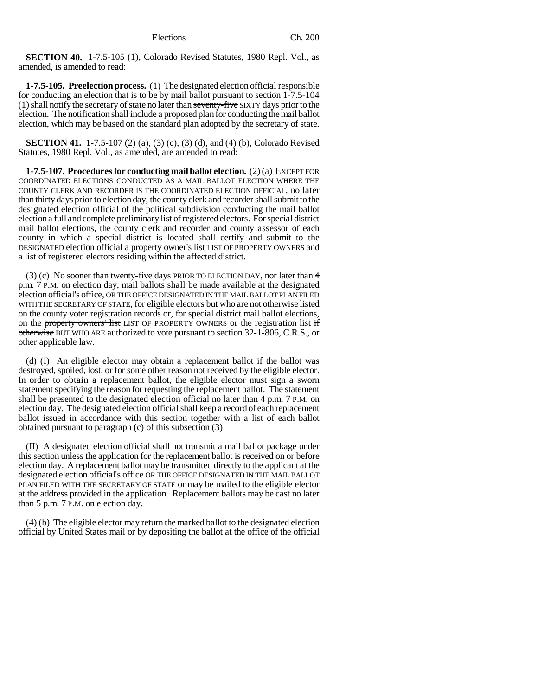**SECTION 40.** 1-7.5-105 (1), Colorado Revised Statutes, 1980 Repl. Vol., as amended, is amended to read:

**1-7.5-105. Preelection process.** (1) The designated election official responsible for conducting an election that is to be by mail ballot pursuant to section 1-7.5-104  $(1)$  shall notify the secretary of state no later than seventy-five SIXTY days prior to the election. The notification shall include a proposed plan for conducting the mail ballot election, which may be based on the standard plan adopted by the secretary of state.

**SECTION 41.** 1-7.5-107 (2) (a), (3) (c), (3) (d), and (4) (b), Colorado Revised Statutes, 1980 Repl. Vol., as amended, are amended to read:

**1-7.5-107. Procedures for conducting mail ballot election.** (2) (a) EXCEPT FOR COORDINATED ELECTIONS CONDUCTED AS A MAIL BALLOT ELECTION WHERE THE COUNTY CLERK AND RECORDER IS THE COORDINATED ELECTION OFFICIAL, no later than thirty days prior to election day, the county clerk and recorder shall submit to the designated election official of the political subdivision conducting the mail ballot election a full and complete preliminary list of registered electors. For special district mail ballot elections, the county clerk and recorder and county assessor of each county in which a special district is located shall certify and submit to the DESIGNATED election official a property owner's list LIST OF PROPERTY OWNERS and a list of registered electors residing within the affected district.

(3) (c) No sooner than twenty-five days PRIOR TO ELECTION DAY, nor later than 4 p.m. 7 P.M. on election day, mail ballots shall be made available at the designated election official's office, OR THE OFFICE DESIGNATED IN THE MAIL BALLOT PLAN FILED WITH THE SECRETARY OF STATE, for eligible electors but who are not otherwise listed on the county voter registration records or, for special district mail ballot elections, on the property owners' list LIST OF PROPERTY OWNERS or the registration list if otherwise BUT WHO ARE authorized to vote pursuant to section 32-1-806, C.R.S., or other applicable law.

(d) (I) An eligible elector may obtain a replacement ballot if the ballot was destroyed, spoiled, lost, or for some other reason not received by the eligible elector. In order to obtain a replacement ballot, the eligible elector must sign a sworn statement specifying the reason for requesting the replacement ballot. The statement shall be presented to the designated election official no later than  $4 p.m. 7 P.M.$  on election day. The designated election official shall keep a record of each replacement ballot issued in accordance with this section together with a list of each ballot obtained pursuant to paragraph (c) of this subsection (3).

(II) A designated election official shall not transmit a mail ballot package under this section unless the application for the replacement ballot is received on or before election day. A replacement ballot may be transmitted directly to the applicant at the designated election official's office OR THE OFFICE DESIGNATED IN THE MAIL BALLOT PLAN FILED WITH THE SECRETARY OF STATE or may be mailed to the eligible elector at the address provided in the application. Replacement ballots may be cast no later than  $5$  p.m. 7 P.M. on election day.

(4) (b) The eligible elector may return the marked ballot to the designated election official by United States mail or by depositing the ballot at the office of the official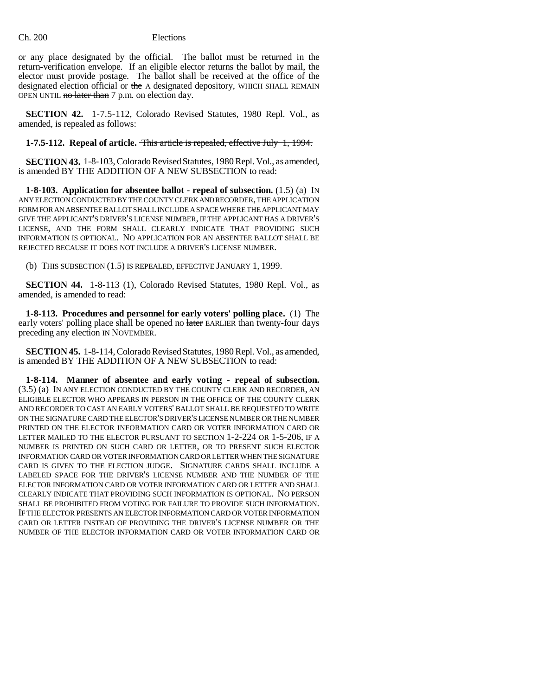or any place designated by the official. The ballot must be returned in the return-verification envelope. If an eligible elector returns the ballot by mail, the elector must provide postage. The ballot shall be received at the office of the designated election official or the A designated depository, WHICH SHALL REMAIN OPEN UNTIL no later than 7 p.m. on election day.

**SECTION 42.** 1-7.5-112, Colorado Revised Statutes, 1980 Repl. Vol., as amended, is repealed as follows:

#### **1-7.5-112. Repeal of article.** This article is repealed, effective July 1, 1994.

**SECTION 43.** 1-8-103, Colorado Revised Statutes, 1980 Repl. Vol., as amended, is amended BY THE ADDITION OF A NEW SUBSECTION to read:

**1-8-103. Application for absentee ballot - repeal of subsection.** (1.5) (a) IN ANY ELECTION CONDUCTED BY THE COUNTY CLERK AND RECORDER, THE APPLICATION FORM FOR AN ABSENTEE BALLOT SHALL INCLUDE A SPACE WHERE THE APPLICANT MAY GIVE THE APPLICANT'S DRIVER'S LICENSE NUMBER, IF THE APPLICANT HAS A DRIVER'S LICENSE, AND THE FORM SHALL CLEARLY INDICATE THAT PROVIDING SUCH INFORMATION IS OPTIONAL. NO APPLICATION FOR AN ABSENTEE BALLOT SHALL BE REJECTED BECAUSE IT DOES NOT INCLUDE A DRIVER'S LICENSE NUMBER.

(b) THIS SUBSECTION (1.5) IS REPEALED, EFFECTIVE JANUARY 1, 1999.

**SECTION 44.** 1-8-113 (1), Colorado Revised Statutes, 1980 Repl. Vol., as amended, is amended to read:

**1-8-113. Procedures and personnel for early voters' polling place.** (1) The early voters' polling place shall be opened no later EARLIER than twenty-four days preceding any election IN NOVEMBER.

**SECTION 45.** 1-8-114, Colorado Revised Statutes, 1980 Repl. Vol., as amended, is amended BY THE ADDITION OF A NEW SUBSECTION to read:

**1-8-114. Manner of absentee and early voting - repeal of subsection.** (3.5) (a) IN ANY ELECTION CONDUCTED BY THE COUNTY CLERK AND RECORDER, AN ELIGIBLE ELECTOR WHO APPEARS IN PERSON IN THE OFFICE OF THE COUNTY CLERK AND RECORDER TO CAST AN EARLY VOTERS' BALLOT SHALL BE REQUESTED TO WRITE ON THE SIGNATURE CARD THE ELECTOR'S DRIVER'S LICENSE NUMBER OR THE NUMBER PRINTED ON THE ELECTOR INFORMATION CARD OR VOTER INFORMATION CARD OR LETTER MAILED TO THE ELECTOR PURSUANT TO SECTION 1-2-224 OR 1-5-206, IF A NUMBER IS PRINTED ON SUCH CARD OR LETTER, OR TO PRESENT SUCH ELECTOR INFORMATION CARD OR VOTER INFORMATION CARD OR LETTER WHEN THE SIGNATURE CARD IS GIVEN TO THE ELECTION JUDGE. SIGNATURE CARDS SHALL INCLUDE A LABELED SPACE FOR THE DRIVER'S LICENSE NUMBER AND THE NUMBER OF THE ELECTOR INFORMATION CARD OR VOTER INFORMATION CARD OR LETTER AND SHALL CLEARLY INDICATE THAT PROVIDING SUCH INFORMATION IS OPTIONAL. NO PERSON SHALL BE PROHIBITED FROM VOTING FOR FAILURE TO PROVIDE SUCH INFORMATION. IF THE ELECTOR PRESENTS AN ELECTOR INFORMATION CARD OR VOTER INFORMATION CARD OR LETTER INSTEAD OF PROVIDING THE DRIVER'S LICENSE NUMBER OR THE NUMBER OF THE ELECTOR INFORMATION CARD OR VOTER INFORMATION CARD OR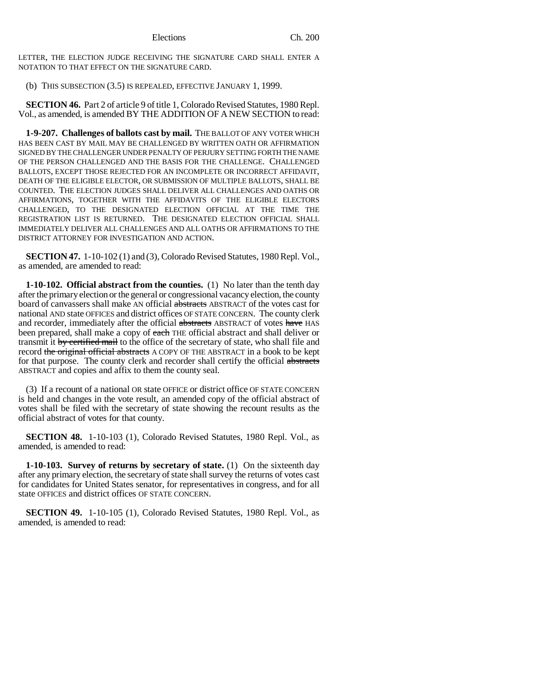LETTER, THE ELECTION JUDGE RECEIVING THE SIGNATURE CARD SHALL ENTER A NOTATION TO THAT EFFECT ON THE SIGNATURE CARD.

(b) THIS SUBSECTION (3.5) IS REPEALED, EFFECTIVE JANUARY 1, 1999.

**SECTION 46.** Part 2 of article 9 of title 1, Colorado Revised Statutes, 1980 Repl. Vol., as amended, is amended BY THE ADDITION OF A NEW SECTION to read:

**1-9-207. Challenges of ballots cast by mail.** THE BALLOT OF ANY VOTER WHICH HAS BEEN CAST BY MAIL MAY BE CHALLENGED BY WRITTEN OATH OR AFFIRMATION SIGNED BY THE CHALLENGER UNDER PENALTY OF PERJURY SETTING FORTH THE NAME OF THE PERSON CHALLENGED AND THE BASIS FOR THE CHALLENGE. CHALLENGED BALLOTS, EXCEPT THOSE REJECTED FOR AN INCOMPLETE OR INCORRECT AFFIDAVIT, DEATH OF THE ELIGIBLE ELECTOR, OR SUBMISSION OF MULTIPLE BALLOTS, SHALL BE COUNTED. THE ELECTION JUDGES SHALL DELIVER ALL CHALLENGES AND OATHS OR AFFIRMATIONS, TOGETHER WITH THE AFFIDAVITS OF THE ELIGIBLE ELECTORS CHALLENGED, TO THE DESIGNATED ELECTION OFFICIAL AT THE TIME THE REGISTRATION LIST IS RETURNED. THE DESIGNATED ELECTION OFFICIAL SHALL IMMEDIATELY DELIVER ALL CHALLENGES AND ALL OATHS OR AFFIRMATIONS TO THE DISTRICT ATTORNEY FOR INVESTIGATION AND ACTION.

**SECTION 47.** 1-10-102 (1) and (3), Colorado Revised Statutes, 1980 Repl. Vol., as amended, are amended to read:

**1-10-102. Official abstract from the counties.** (1) No later than the tenth day after the primary election or the general or congressional vacancy election, the county board of canvassers shall make AN official abstracts ABSTRACT of the votes cast for national AND state OFFICES and district offices OF STATE CONCERN. The county clerk and recorder, immediately after the official abstracts ABSTRACT of votes have HAS been prepared, shall make a copy of each THE official abstract and shall deliver or transmit it by certified mail to the office of the secretary of state, who shall file and record the original official abstracts A COPY OF THE ABSTRACT in a book to be kept for that purpose. The county clerk and recorder shall certify the official abstracts ABSTRACT and copies and affix to them the county seal.

(3) If a recount of a national OR state OFFICE or district office OF STATE CONCERN is held and changes in the vote result, an amended copy of the official abstract of votes shall be filed with the secretary of state showing the recount results as the official abstract of votes for that county.

**SECTION 48.** 1-10-103 (1), Colorado Revised Statutes, 1980 Repl. Vol., as amended, is amended to read:

**1-10-103. Survey of returns by secretary of state.** (1) On the sixteenth day after any primary election, the secretary of state shall survey the returns of votes cast for candidates for United States senator, for representatives in congress, and for all state OFFICES and district offices OF STATE CONCERN.

**SECTION 49.** 1-10-105 (1), Colorado Revised Statutes, 1980 Repl. Vol., as amended, is amended to read: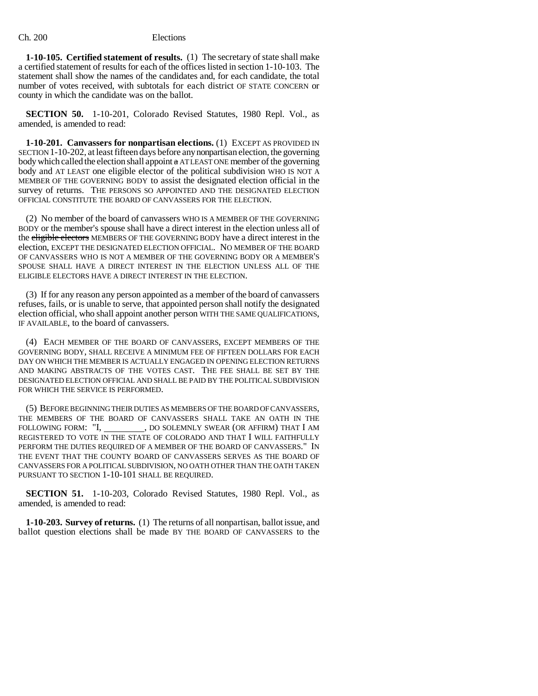**1-10-105. Certified statement of results.** (1) The secretary of state shall make a certified statement of results for each of the offices listed in section 1-10-103. The statement shall show the names of the candidates and, for each candidate, the total number of votes received, with subtotals for each district OF STATE CONCERN or county in which the candidate was on the ballot.

**SECTION 50.** 1-10-201, Colorado Revised Statutes, 1980 Repl. Vol., as amended, is amended to read:

**1-10-201. Canvassers for nonpartisan elections.** (1) EXCEPT AS PROVIDED IN SECTION 1-10-202, at least fifteen days before any nonpartisan election, the governing body which called the election shall appoint  $\alpha$  AT LEAST ONE member of the governing body and AT LEAST one eligible elector of the political subdivision WHO IS NOT A MEMBER OF THE GOVERNING BODY to assist the designated election official in the survey of returns. THE PERSONS SO APPOINTED AND THE DESIGNATED ELECTION OFFICIAL CONSTITUTE THE BOARD OF CANVASSERS FOR THE ELECTION.

(2) No member of the board of canvassers WHO IS A MEMBER OF THE GOVERNING BODY or the member's spouse shall have a direct interest in the election unless all of the eligible electors MEMBERS OF THE GOVERNING BODY have a direct interest in the election, EXCEPT THE DESIGNATED ELECTION OFFICIAL. NO MEMBER OF THE BOARD OF CANVASSERS WHO IS NOT A MEMBER OF THE GOVERNING BODY OR A MEMBER'S SPOUSE SHALL HAVE A DIRECT INTEREST IN THE ELECTION UNLESS ALL OF THE ELIGIBLE ELECTORS HAVE A DIRECT INTEREST IN THE ELECTION.

(3) If for any reason any person appointed as a member of the board of canvassers refuses, fails, or is unable to serve, that appointed person shall notify the designated election official, who shall appoint another person WITH THE SAME QUALIFICATIONS, IF AVAILABLE, to the board of canvassers.

(4) EACH MEMBER OF THE BOARD OF CANVASSERS, EXCEPT MEMBERS OF THE GOVERNING BODY, SHALL RECEIVE A MINIMUM FEE OF FIFTEEN DOLLARS FOR EACH DAY ON WHICH THE MEMBER IS ACTUALLY ENGAGED IN OPENING ELECTION RETURNS AND MAKING ABSTRACTS OF THE VOTES CAST. THE FEE SHALL BE SET BY THE DESIGNATED ELECTION OFFICIAL AND SHALL BE PAID BY THE POLITICAL SUBDIVISION FOR WHICH THE SERVICE IS PERFORMED.

(5) BEFORE BEGINNING THEIR DUTIES AS MEMBERS OF THE BOARD OF CANVASSERS, THE MEMBERS OF THE BOARD OF CANVASSERS SHALL TAKE AN OATH IN THE FOLLOWING FORM: "I, \_\_\_\_\_\_\_\_, DO SOLEMNLY SWEAR (OR AFFIRM) THAT I AM REGISTERED TO VOTE IN THE STATE OF COLORADO AND THAT I WILL FAITHFULLY PERFORM THE DUTIES REQUIRED OF A MEMBER OF THE BOARD OF CANVASSERS." IN THE EVENT THAT THE COUNTY BOARD OF CANVASSERS SERVES AS THE BOARD OF CANVASSERS FOR A POLITICAL SUBDIVISION, NO OATH OTHER THAN THE OATH TAKEN PURSUANT TO SECTION 1-10-101 SHALL BE REQUIRED.

**SECTION 51.** 1-10-203, Colorado Revised Statutes, 1980 Repl. Vol., as amended, is amended to read:

**1-10-203. Survey of returns.** (1) The returns of all nonpartisan, ballot issue, and ballot question elections shall be made BY THE BOARD OF CANVASSERS to the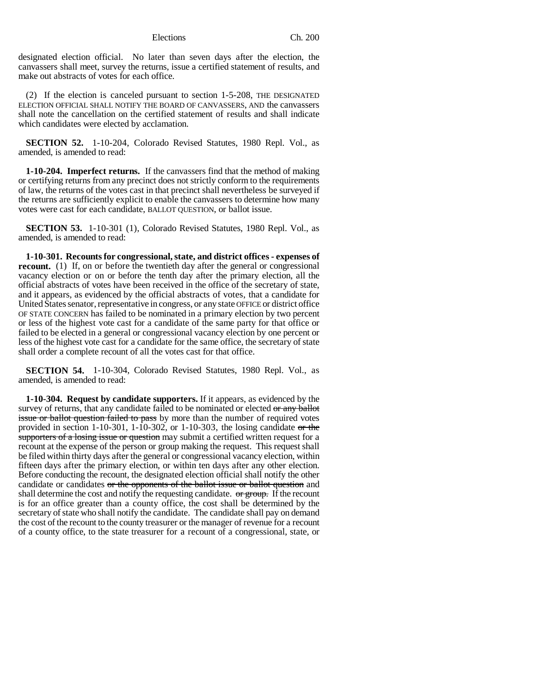designated election official. No later than seven days after the election, the canvassers shall meet, survey the returns, issue a certified statement of results, and make out abstracts of votes for each office.

(2) If the election is canceled pursuant to section 1-5-208, THE DESIGNATED ELECTION OFFICIAL SHALL NOTIFY THE BOARD OF CANVASSERS, AND the canvassers shall note the cancellation on the certified statement of results and shall indicate which candidates were elected by acclamation.

**SECTION 52.** 1-10-204, Colorado Revised Statutes, 1980 Repl. Vol., as amended, is amended to read:

**1-10-204. Imperfect returns.** If the canvassers find that the method of making or certifying returns from any precinct does not strictly conform to the requirements of law, the returns of the votes cast in that precinct shall nevertheless be surveyed if the returns are sufficiently explicit to enable the canvassers to determine how many votes were cast for each candidate, BALLOT QUESTION, or ballot issue.

**SECTION 53.** 1-10-301 (1), Colorado Revised Statutes, 1980 Repl. Vol., as amended, is amended to read:

**1-10-301. Recounts for congressional, state, and district offices - expenses of recount.** (1) If, on or before the twentieth day after the general or congressional vacancy election or on or before the tenth day after the primary election, all the official abstracts of votes have been received in the office of the secretary of state, and it appears, as evidenced by the official abstracts of votes, that a candidate for United States senator, representative in congress, or any state OFFICE or district office OF STATE CONCERN has failed to be nominated in a primary election by two percent or less of the highest vote cast for a candidate of the same party for that office or failed to be elected in a general or congressional vacancy election by one percent or less of the highest vote cast for a candidate for the same office, the secretary of state shall order a complete recount of all the votes cast for that office.

**SECTION 54.** 1-10-304, Colorado Revised Statutes, 1980 Repl. Vol., as amended, is amended to read:

**1-10-304. Request by candidate supporters.** If it appears, as evidenced by the survey of returns, that any candidate failed to be nominated or elected or any ballot issue or ballot question failed to pass by more than the number of required votes provided in section 1-10-301, 1-10-302, or 1-10-303, the losing candidate or the supporters of a losing issue or question may submit a certified written request for a recount at the expense of the person or group making the request. This request shall be filed within thirty days after the general or congressional vacancy election, within fifteen days after the primary election, or within ten days after any other election. Before conducting the recount, the designated election official shall notify the other candidate or candidates or the opponents of the ballot issue or ballot question and shall determine the cost and notify the requesting candidate. or group. If the recount is for an office greater than a county office, the cost shall be determined by the secretary of state who shall notify the candidate. The candidate shall pay on demand the cost of the recount to the county treasurer or the manager of revenue for a recount of a county office, to the state treasurer for a recount of a congressional, state, or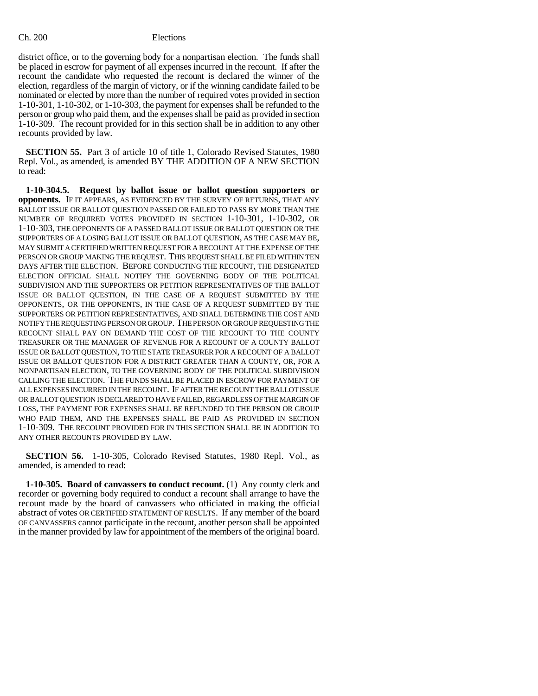district office, or to the governing body for a nonpartisan election. The funds shall be placed in escrow for payment of all expenses incurred in the recount. If after the recount the candidate who requested the recount is declared the winner of the election, regardless of the margin of victory, or if the winning candidate failed to be nominated or elected by more than the number of required votes provided in section 1-10-301, 1-10-302, or 1-10-303, the payment for expenses shall be refunded to the person or group who paid them, and the expenses shall be paid as provided in section 1-10-309. The recount provided for in this section shall be in addition to any other recounts provided by law.

**SECTION 55.** Part 3 of article 10 of title 1, Colorado Revised Statutes, 1980 Repl. Vol., as amended, is amended BY THE ADDITION OF A NEW SECTION to read:

**1-10-304.5. Request by ballot issue or ballot question supporters or opponents.** IF IT APPEARS, AS EVIDENCED BY THE SURVEY OF RETURNS, THAT ANY BALLOT ISSUE OR BALLOT QUESTION PASSED OR FAILED TO PASS BY MORE THAN THE NUMBER OF REQUIRED VOTES PROVIDED IN SECTION 1-10-301, 1-10-302, OR 1-10-303, THE OPPONENTS OF A PASSED BALLOT ISSUE OR BALLOT QUESTION OR THE SUPPORTERS OF A LOSING BALLOT ISSUE OR BALLOT QUESTION, AS THE CASE MAY BE, MAY SUBMIT A CERTIFIED WRITTEN REQUEST FOR A RECOUNT AT THE EXPENSE OF THE PERSON OR GROUP MAKING THE REQUEST. THIS REQUEST SHALL BE FILED WITHIN TEN DAYS AFTER THE ELECTION. BEFORE CONDUCTING THE RECOUNT, THE DESIGNATED ELECTION OFFICIAL SHALL NOTIFY THE GOVERNING BODY OF THE POLITICAL SUBDIVISION AND THE SUPPORTERS OR PETITION REPRESENTATIVES OF THE BALLOT ISSUE OR BALLOT QUESTION, IN THE CASE OF A REQUEST SUBMITTED BY THE OPPONENTS, OR THE OPPONENTS, IN THE CASE OF A REQUEST SUBMITTED BY THE SUPPORTERS OR PETITION REPRESENTATIVES, AND SHALL DETERMINE THE COST AND NOTIFY THE REQUESTING PERSON OR GROUP. THE PERSON OR GROUP REQUESTING THE RECOUNT SHALL PAY ON DEMAND THE COST OF THE RECOUNT TO THE COUNTY TREASURER OR THE MANAGER OF REVENUE FOR A RECOUNT OF A COUNTY BALLOT ISSUE OR BALLOT QUESTION, TO THE STATE TREASURER FOR A RECOUNT OF A BALLOT ISSUE OR BALLOT QUESTION FOR A DISTRICT GREATER THAN A COUNTY, OR, FOR A NONPARTISAN ELECTION, TO THE GOVERNING BODY OF THE POLITICAL SUBDIVISION CALLING THE ELECTION. THE FUNDS SHALL BE PLACED IN ESCROW FOR PAYMENT OF ALL EXPENSES INCURRED IN THE RECOUNT. IF AFTER THE RECOUNT THE BALLOT ISSUE OR BALLOT QUESTION IS DECLARED TO HAVE FAILED, REGARDLESS OF THE MARGIN OF LOSS, THE PAYMENT FOR EXPENSES SHALL BE REFUNDED TO THE PERSON OR GROUP WHO PAID THEM, AND THE EXPENSES SHALL BE PAID AS PROVIDED IN SECTION 1-10-309. THE RECOUNT PROVIDED FOR IN THIS SECTION SHALL BE IN ADDITION TO ANY OTHER RECOUNTS PROVIDED BY LAW.

**SECTION 56.** 1-10-305, Colorado Revised Statutes, 1980 Repl. Vol., as amended, is amended to read:

**1-10-305. Board of canvassers to conduct recount.** (1) Any county clerk and recorder or governing body required to conduct a recount shall arrange to have the recount made by the board of canvassers who officiated in making the official abstract of votes OR CERTIFIED STATEMENT OF RESULTS. If any member of the board OF CANVASSERS cannot participate in the recount, another person shall be appointed in the manner provided by law for appointment of the members of the original board.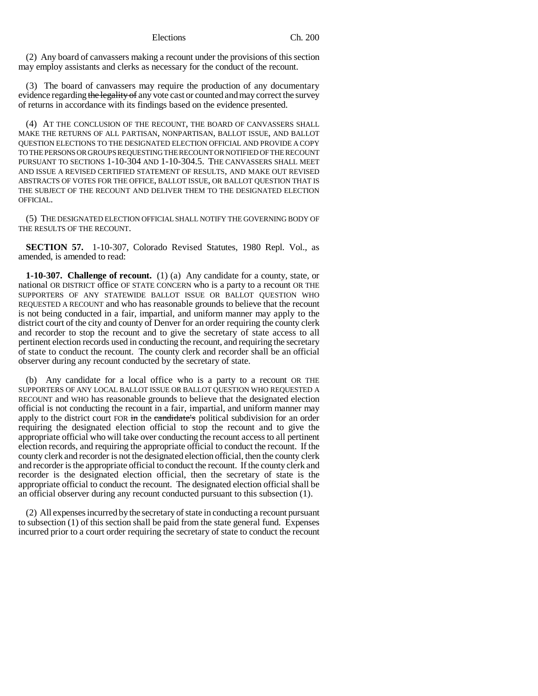(2) Any board of canvassers making a recount under the provisions of this section may employ assistants and clerks as necessary for the conduct of the recount.

(3) The board of canvassers may require the production of any documentary evidence regarding the legality of any vote cast or counted and may correct the survey of returns in accordance with its findings based on the evidence presented.

(4) AT THE CONCLUSION OF THE RECOUNT, THE BOARD OF CANVASSERS SHALL MAKE THE RETURNS OF ALL PARTISAN, NONPARTISAN, BALLOT ISSUE, AND BALLOT QUESTION ELECTIONS TO THE DESIGNATED ELECTION OFFICIAL AND PROVIDE A COPY TO THE PERSONS OR GROUPS REQUESTING THE RECOUNT OR NOTIFIED OF THE RECOUNT PURSUANT TO SECTIONS 1-10-304 AND 1-10-304.5. THE CANVASSERS SHALL MEET AND ISSUE A REVISED CERTIFIED STATEMENT OF RESULTS, AND MAKE OUT REVISED ABSTRACTS OF VOTES FOR THE OFFICE, BALLOT ISSUE, OR BALLOT QUESTION THAT IS THE SUBJECT OF THE RECOUNT AND DELIVER THEM TO THE DESIGNATED ELECTION OFFICIAL.

(5) THE DESIGNATED ELECTION OFFICIAL SHALL NOTIFY THE GOVERNING BODY OF THE RESULTS OF THE RECOUNT.

**SECTION 57.** 1-10-307, Colorado Revised Statutes, 1980 Repl. Vol., as amended, is amended to read:

**1-10-307. Challenge of recount.** (1) (a) Any candidate for a county, state, or national OR DISTRICT office OF STATE CONCERN who is a party to a recount OR THE SUPPORTERS OF ANY STATEWIDE BALLOT ISSUE OR BALLOT QUESTION WHO REQUESTED A RECOUNT and who has reasonable grounds to believe that the recount is not being conducted in a fair, impartial, and uniform manner may apply to the district court of the city and county of Denver for an order requiring the county clerk and recorder to stop the recount and to give the secretary of state access to all pertinent election records used in conducting the recount, and requiring the secretary of state to conduct the recount. The county clerk and recorder shall be an official observer during any recount conducted by the secretary of state.

(b) Any candidate for a local office who is a party to a recount OR THE SUPPORTERS OF ANY LOCAL BALLOT ISSUE OR BALLOT QUESTION WHO REQUESTED A RECOUNT and WHO has reasonable grounds to believe that the designated election official is not conducting the recount in a fair, impartial, and uniform manner may apply to the district court FOR in the candidate's political subdivision for an order requiring the designated election official to stop the recount and to give the appropriate official who will take over conducting the recount access to all pertinent election records, and requiring the appropriate official to conduct the recount. If the county clerk and recorder is not the designated election official, then the county clerk and recorder is the appropriate official to conduct the recount. If the county clerk and recorder is the designated election official, then the secretary of state is the appropriate official to conduct the recount. The designated election official shall be an official observer during any recount conducted pursuant to this subsection (1).

(2) All expenses incurred by the secretary of state in conducting a recount pursuant to subsection (1) of this section shall be paid from the state general fund. Expenses incurred prior to a court order requiring the secretary of state to conduct the recount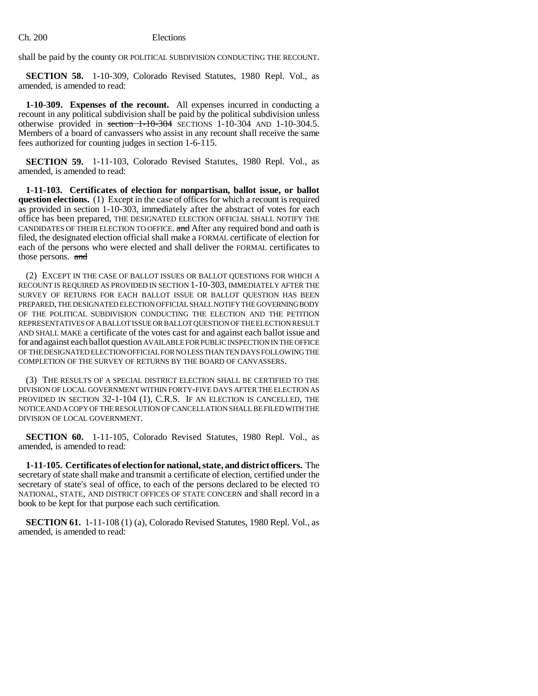shall be paid by the county OR POLITICAL SUBDIVISION CONDUCTING THE RECOUNT.

**SECTION 58.** 1-10-309, Colorado Revised Statutes, 1980 Repl. Vol., as amended, is amended to read:

**1-10-309. Expenses of the recount.** All expenses incurred in conducting a recount in any political subdivision shall be paid by the political subdivision unless otherwise provided in section 1-10-304 SECTIONS 1-10-304 AND 1-10-304.5. Members of a board of canvassers who assist in any recount shall receive the same fees authorized for counting judges in section 1-6-115.

**SECTION 59.** 1-11-103, Colorado Revised Statutes, 1980 Repl. Vol., as amended, is amended to read:

**1-11-103. Certificates of election for nonpartisan, ballot issue, or ballot question elections.** (1) Except in the case of offices for which a recount is required as provided in section 1-10-303, immediately after the abstract of votes for each office has been prepared, THE DESIGNATED ELECTION OFFICIAL SHALL NOTIFY THE CANDIDATES OF THEIR ELECTION TO OFFICE. and After any required bond and oath is filed, the designated election official shall make a FORMAL certificate of election for each of the persons who were elected and shall deliver the FORMAL certificates to those persons. and

(2) EXCEPT IN THE CASE OF BALLOT ISSUES OR BALLOT QUESTIONS FOR WHICH A RECOUNT IS REQUIRED AS PROVIDED IN SECTION 1-10-303, IMMEDIATELY AFTER THE SURVEY OF RETURNS FOR EACH BALLOT ISSUE OR BALLOT QUESTION HAS BEEN PREPARED, THE DESIGNATED ELECTION OFFICIAL SHALL NOTIFY THE GOVERNING BODY OF THE POLITICAL SUBDIVISION CONDUCTING THE ELECTION AND THE PETITION REPRESENTATIVES OF A BALLOT ISSUE OR BALLOT QUESTION OF THE ELECTION RESULT AND SHALL MAKE a certificate of the votes cast for and against each ballot issue and for and against each ballot question AVAILABLE FOR PUBLIC INSPECTION IN THE OFFICE OF THE DESIGNATED ELECTION OFFICIAL FOR NO LESS THAN TEN DAYS FOLLOWING THE COMPLETION OF THE SURVEY OF RETURNS BY THE BOARD OF CANVASSERS.

(3) THE RESULTS OF A SPECIAL DISTRICT ELECTION SHALL BE CERTIFIED TO THE DIVISION OF LOCAL GOVERNMENT WITHIN FORTY-FIVE DAYS AFTER THE ELECTION AS PROVIDED IN SECTION 32-1-104 (1), C.R.S. IF AN ELECTION IS CANCELLED, THE NOTICE AND A COPY OF THE RESOLUTION OF CANCELLATION SHALL BE FILED WITH THE DIVISION OF LOCAL GOVERNMENT.

**SECTION 60.** 1-11-105, Colorado Revised Statutes, 1980 Repl. Vol., as amended, is amended to read:

**1-11-105. Certificates of election for national, state, and district officers.** The secretary of state shall make and transmit a certificate of election, certified under the secretary of state's seal of office, to each of the persons declared to be elected TO NATIONAL, STATE, AND DISTRICT OFFICES OF STATE CONCERN and shall record in a book to be kept for that purpose each such certification.

**SECTION 61.** 1-11-108 (1) (a), Colorado Revised Statutes, 1980 Repl. Vol., as amended, is amended to read: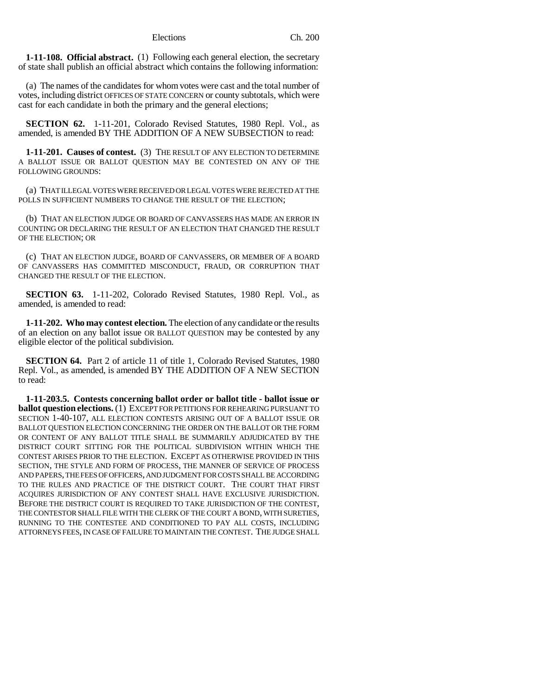**1-11-108. Official abstract.** (1) Following each general election, the secretary of state shall publish an official abstract which contains the following information:

(a) The names of the candidates for whom votes were cast and the total number of votes, including district OFFICES OF STATE CONCERN or county subtotals, which were cast for each candidate in both the primary and the general elections;

**SECTION 62.** 1-11-201, Colorado Revised Statutes, 1980 Repl. Vol., as amended, is amended BY THE ADDITION OF A NEW SUBSECTION to read:

**1-11-201. Causes of contest.** (3) THE RESULT OF ANY ELECTION TO DETERMINE A BALLOT ISSUE OR BALLOT QUESTION MAY BE CONTESTED ON ANY OF THE FOLLOWING GROUNDS:

(a) THAT ILLEGAL VOTES WERE RECEIVED OR LEGAL VOTES WERE REJECTED AT THE POLLS IN SUFFICIENT NUMBERS TO CHANGE THE RESULT OF THE ELECTION;

(b) THAT AN ELECTION JUDGE OR BOARD OF CANVASSERS HAS MADE AN ERROR IN COUNTING OR DECLARING THE RESULT OF AN ELECTION THAT CHANGED THE RESULT OF THE ELECTION; OR

(c) THAT AN ELECTION JUDGE, BOARD OF CANVASSERS, OR MEMBER OF A BOARD OF CANVASSERS HAS COMMITTED MISCONDUCT, FRAUD, OR CORRUPTION THAT CHANGED THE RESULT OF THE ELECTION.

**SECTION 63.** 1-11-202, Colorado Revised Statutes, 1980 Repl. Vol., as amended, is amended to read:

**1-11-202. Who may contest election.** The election of any candidate or the results of an election on any ballot issue OR BALLOT QUESTION may be contested by any eligible elector of the political subdivision.

**SECTION 64.** Part 2 of article 11 of title 1, Colorado Revised Statutes, 1980 Repl. Vol., as amended, is amended BY THE ADDITION OF A NEW SECTION to read:

**1-11-203.5. Contests concerning ballot order or ballot title - ballot issue or ballot question elections.** (1) EXCEPT FOR PETITIONS FOR REHEARING PURSUANT TO SECTION 1-40-107, ALL ELECTION CONTESTS ARISING OUT OF A BALLOT ISSUE OR BALLOT QUESTION ELECTION CONCERNING THE ORDER ON THE BALLOT OR THE FORM OR CONTENT OF ANY BALLOT TITLE SHALL BE SUMMARILY ADJUDICATED BY THE DISTRICT COURT SITTING FOR THE POLITICAL SUBDIVISION WITHIN WHICH THE CONTEST ARISES PRIOR TO THE ELECTION. EXCEPT AS OTHERWISE PROVIDED IN THIS SECTION, THE STYLE AND FORM OF PROCESS, THE MANNER OF SERVICE OF PROCESS AND PAPERS, THE FEES OF OFFICERS, AND JUDGMENT FOR COSTS SHALL BE ACCORDING TO THE RULES AND PRACTICE OF THE DISTRICT COURT. THE COURT THAT FIRST ACQUIRES JURISDICTION OF ANY CONTEST SHALL HAVE EXCLUSIVE JURISDICTION. BEFORE THE DISTRICT COURT IS REQUIRED TO TAKE JURISDICTION OF THE CONTEST, THE CONTESTOR SHALL FILE WITH THE CLERK OF THE COURT A BOND, WITH SURETIES, RUNNING TO THE CONTESTEE AND CONDITIONED TO PAY ALL COSTS, INCLUDING ATTORNEYS FEES, IN CASE OF FAILURE TO MAINTAIN THE CONTEST. THE JUDGE SHALL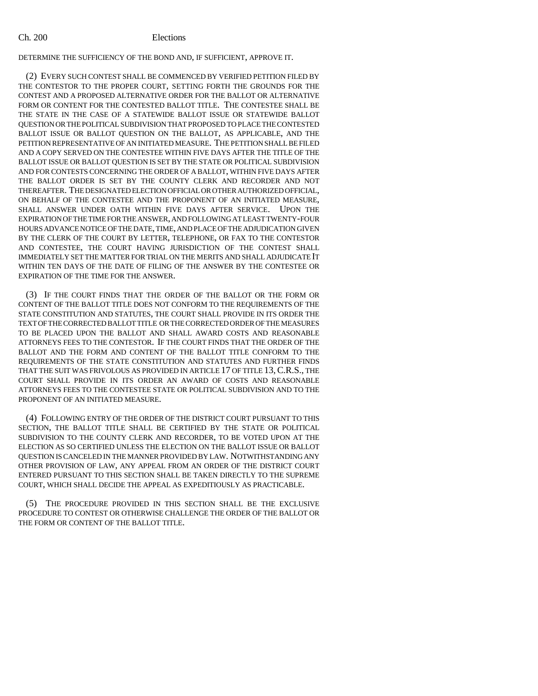DETERMINE THE SUFFICIENCY OF THE BOND AND, IF SUFFICIENT, APPROVE IT.

(2) EVERY SUCH CONTEST SHALL BE COMMENCED BY VERIFIED PETITION FILED BY THE CONTESTOR TO THE PROPER COURT, SETTING FORTH THE GROUNDS FOR THE CONTEST AND A PROPOSED ALTERNATIVE ORDER FOR THE BALLOT OR ALTERNATIVE FORM OR CONTENT FOR THE CONTESTED BALLOT TITLE. THE CONTESTEE SHALL BE THE STATE IN THE CASE OF A STATEWIDE BALLOT ISSUE OR STATEWIDE BALLOT QUESTION OR THE POLITICAL SUBDIVISION THAT PROPOSED TO PLACE THE CONTESTED BALLOT ISSUE OR BALLOT QUESTION ON THE BALLOT, AS APPLICABLE, AND THE PETITION REPRESENTATIVE OF AN INITIATED MEASURE. THE PETITION SHALL BE FILED AND A COPY SERVED ON THE CONTESTEE WITHIN FIVE DAYS AFTER THE TITLE OF THE BALLOT ISSUE OR BALLOT QUESTION IS SET BY THE STATE OR POLITICAL SUBDIVISION AND FOR CONTESTS CONCERNING THE ORDER OF A BALLOT, WITHIN FIVE DAYS AFTER THE BALLOT ORDER IS SET BY THE COUNTY CLERK AND RECORDER AND NOT THEREAFTER. THE DESIGNATED ELECTION OFFICIAL OR OTHER AUTHORIZED OFFICIAL, ON BEHALF OF THE CONTESTEE AND THE PROPONENT OF AN INITIATED MEASURE, SHALL ANSWER UNDER OATH WITHIN FIVE DAYS AFTER SERVICE. UPON THE EXPIRATION OF THE TIME FOR THE ANSWER, AND FOLLOWING AT LEAST TWENTY-FOUR HOURS ADVANCE NOTICE OF THE DATE, TIME, AND PLACE OF THE ADJUDICATION GIVEN BY THE CLERK OF THE COURT BY LETTER, TELEPHONE, OR FAX TO THE CONTESTOR AND CONTESTEE, THE COURT HAVING JURISDICTION OF THE CONTEST SHALL IMMEDIATELY SET THE MATTER FOR TRIAL ON THE MERITS AND SHALL ADJUDICATE IT WITHIN TEN DAYS OF THE DATE OF FILING OF THE ANSWER BY THE CONTESTEE OR EXPIRATION OF THE TIME FOR THE ANSWER.

(3) IF THE COURT FINDS THAT THE ORDER OF THE BALLOT OR THE FORM OR CONTENT OF THE BALLOT TITLE DOES NOT CONFORM TO THE REQUIREMENTS OF THE STATE CONSTITUTION AND STATUTES, THE COURT SHALL PROVIDE IN ITS ORDER THE TEXT OF THE CORRECTED BALLOT TITLE OR THE CORRECTED ORDER OF THE MEASURES TO BE PLACED UPON THE BALLOT AND SHALL AWARD COSTS AND REASONABLE ATTORNEYS FEES TO THE CONTESTOR. IF THE COURT FINDS THAT THE ORDER OF THE BALLOT AND THE FORM AND CONTENT OF THE BALLOT TITLE CONFORM TO THE REQUIREMENTS OF THE STATE CONSTITUTION AND STATUTES AND FURTHER FINDS THAT THE SUIT WAS FRIVOLOUS AS PROVIDED IN ARTICLE 17 OF TITLE 13, C.R.S., THE COURT SHALL PROVIDE IN ITS ORDER AN AWARD OF COSTS AND REASONABLE ATTORNEYS FEES TO THE CONTESTEE STATE OR POLITICAL SUBDIVISION AND TO THE PROPONENT OF AN INITIATED MEASURE.

(4) FOLLOWING ENTRY OF THE ORDER OF THE DISTRICT COURT PURSUANT TO THIS SECTION, THE BALLOT TITLE SHALL BE CERTIFIED BY THE STATE OR POLITICAL SUBDIVISION TO THE COUNTY CLERK AND RECORDER, TO BE VOTED UPON AT THE ELECTION AS SO CERTIFIED UNLESS THE ELECTION ON THE BALLOT ISSUE OR BALLOT QUESTION IS CANCELED IN THE MANNER PROVIDED BY LAW. NOTWITHSTANDING ANY OTHER PROVISION OF LAW, ANY APPEAL FROM AN ORDER OF THE DISTRICT COURT ENTERED PURSUANT TO THIS SECTION SHALL BE TAKEN DIRECTLY TO THE SUPREME COURT, WHICH SHALL DECIDE THE APPEAL AS EXPEDITIOUSLY AS PRACTICABLE.

(5) THE PROCEDURE PROVIDED IN THIS SECTION SHALL BE THE EXCLUSIVE PROCEDURE TO CONTEST OR OTHERWISE CHALLENGE THE ORDER OF THE BALLOT OR THE FORM OR CONTENT OF THE BALLOT TITLE.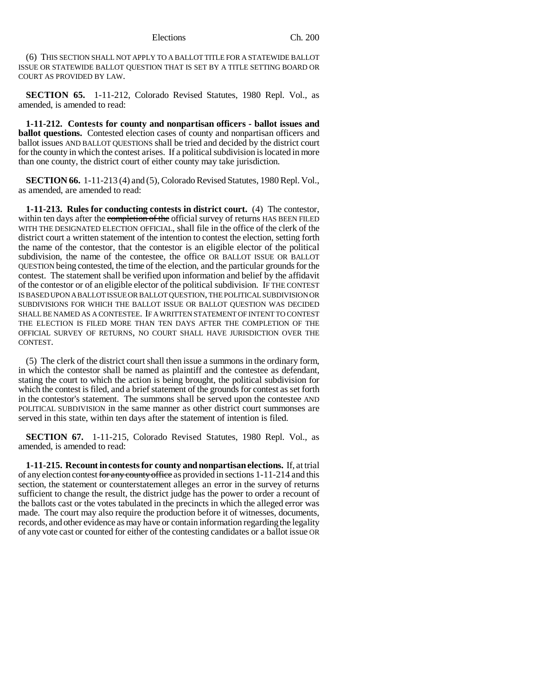(6) THIS SECTION SHALL NOT APPLY TO A BALLOT TITLE FOR A STATEWIDE BALLOT ISSUE OR STATEWIDE BALLOT QUESTION THAT IS SET BY A TITLE SETTING BOARD OR COURT AS PROVIDED BY LAW.

**SECTION 65.** 1-11-212, Colorado Revised Statutes, 1980 Repl. Vol., as amended, is amended to read:

**1-11-212. Contests for county and nonpartisan officers - ballot issues and ballot questions.** Contested election cases of county and nonpartisan officers and ballot issues AND BALLOT QUESTIONS shall be tried and decided by the district court for the county in which the contest arises. If a political subdivision is located in more than one county, the district court of either county may take jurisdiction.

**SECTION 66.** 1-11-213 (4) and (5), Colorado Revised Statutes, 1980 Repl. Vol., as amended, are amended to read:

**1-11-213. Rules for conducting contests in district court.** (4) The contestor, within ten days after the completion of the official survey of returns HAS BEEN FILED WITH THE DESIGNATED ELECTION OFFICIAL, shall file in the office of the clerk of the district court a written statement of the intention to contest the election, setting forth the name of the contestor, that the contestor is an eligible elector of the political subdivision, the name of the contestee, the office OR BALLOT ISSUE OR BALLOT QUESTION being contested, the time of the election, and the particular grounds for the contest. The statement shall be verified upon information and belief by the affidavit of the contestor or of an eligible elector of the political subdivision. IF THE CONTEST IS BASED UPON A BALLOT ISSUE OR BALLOT QUESTION, THE POLITICAL SUBDIVISION OR SUBDIVISIONS FOR WHICH THE BALLOT ISSUE OR BALLOT QUESTION WAS DECIDED SHALL BE NAMED AS A CONTESTEE. IF A WRITTEN STATEMENT OF INTENT TO CONTEST THE ELECTION IS FILED MORE THAN TEN DAYS AFTER THE COMPLETION OF THE OFFICIAL SURVEY OF RETURNS, NO COURT SHALL HAVE JURISDICTION OVER THE CONTEST.

(5) The clerk of the district court shall then issue a summons in the ordinary form, in which the contestor shall be named as plaintiff and the contestee as defendant, stating the court to which the action is being brought, the political subdivision for which the contest is filed, and a brief statement of the grounds for contest as set forth in the contestor's statement. The summons shall be served upon the contestee AND POLITICAL SUBDIVISION in the same manner as other district court summonses are served in this state, within ten days after the statement of intention is filed.

**SECTION 67.** 1-11-215, Colorado Revised Statutes, 1980 Repl. Vol., as amended, is amended to read:

**1-11-215. Recount in contests for county and nonpartisan elections.** If, at trial of any election contest for any county office as provided in sections  $1-11-214$  and this section, the statement or counterstatement alleges an error in the survey of returns sufficient to change the result, the district judge has the power to order a recount of the ballots cast or the votes tabulated in the precincts in which the alleged error was made. The court may also require the production before it of witnesses, documents, records, and other evidence as may have or contain information regarding the legality of any vote cast or counted for either of the contesting candidates or a ballot issue OR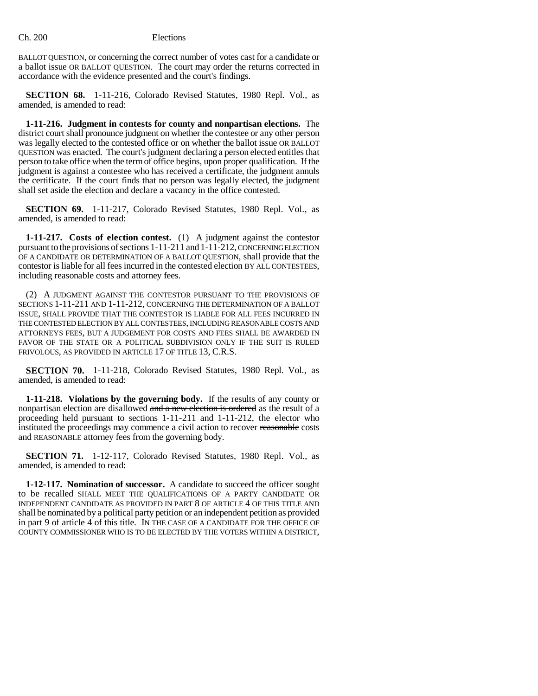BALLOT QUESTION, or concerning the correct number of votes cast for a candidate or a ballot issue OR BALLOT QUESTION. The court may order the returns corrected in accordance with the evidence presented and the court's findings.

**SECTION 68.** 1-11-216, Colorado Revised Statutes, 1980 Repl. Vol., as amended, is amended to read:

**1-11-216. Judgment in contests for county and nonpartisan elections.** The district court shall pronounce judgment on whether the contestee or any other person was legally elected to the contested office or on whether the ballot issue OR BALLOT QUESTION was enacted. The court's judgment declaring a person elected entitles that person to take office when the term of office begins, upon proper qualification. If the judgment is against a contestee who has received a certificate, the judgment annuls the certificate. If the court finds that no person was legally elected, the judgment shall set aside the election and declare a vacancy in the office contested.

**SECTION 69.** 1-11-217, Colorado Revised Statutes, 1980 Repl. Vol., as amended, is amended to read:

**1-11-217. Costs of election contest.** (1) A judgment against the contestor pursuant to the provisions of sections 1-11-211 and 1-11-212, CONCERNING ELECTION OF A CANDIDATE OR DETERMINATION OF A BALLOT QUESTION, shall provide that the contestor is liable for all fees incurred in the contested election BY ALL CONTESTEES, including reasonable costs and attorney fees.

(2) A JUDGMENT AGAINST THE CONTESTOR PURSUANT TO THE PROVISIONS OF SECTIONS 1-11-211 AND 1-11-212, CONCERNING THE DETERMINATION OF A BALLOT ISSUE, SHALL PROVIDE THAT THE CONTESTOR IS LIABLE FOR ALL FEES INCURRED IN THE CONTESTED ELECTION BY ALL CONTESTEES, INCLUDING REASONABLE COSTS AND ATTORNEYS FEES, BUT A JUDGEMENT FOR COSTS AND FEES SHALL BE AWARDED IN FAVOR OF THE STATE OR A POLITICAL SUBDIVISION ONLY IF THE SUIT IS RULED FRIVOLOUS, AS PROVIDED IN ARTICLE 17 OF TITLE 13, C.R.S.

**SECTION 70.** 1-11-218, Colorado Revised Statutes, 1980 Repl. Vol., as amended, is amended to read:

**1-11-218. Violations by the governing body.** If the results of any county or nonpartisan election are disallowed and a new election is ordered as the result of a proceeding held pursuant to sections 1-11-211 and 1-11-212, the elector who instituted the proceedings may commence a civil action to recover reasonable costs and REASONABLE attorney fees from the governing body.

**SECTION 71.** 1-12-117, Colorado Revised Statutes, 1980 Repl. Vol., as amended, is amended to read:

**1-12-117. Nomination of successor.** A candidate to succeed the officer sought to be recalled SHALL MEET THE QUALIFICATIONS OF A PARTY CANDIDATE OR INDEPENDENT CANDIDATE AS PROVIDED IN PART 8 OF ARTICLE 4 OF THIS TITLE AND shall be nominated by a political party petition or an independent petition as provided in part 9 of article 4 of this title. IN THE CASE OF A CANDIDATE FOR THE OFFICE OF COUNTY COMMISSIONER WHO IS TO BE ELECTED BY THE VOTERS WITHIN A DISTRICT,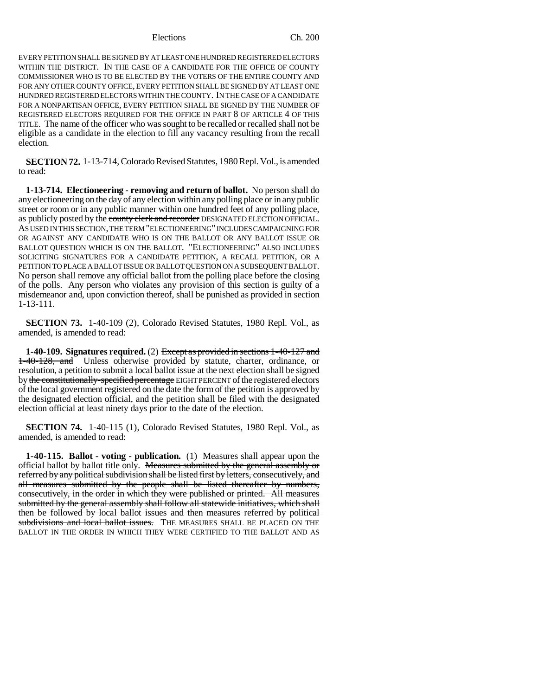EVERY PETITION SHALL BE SIGNED BY AT LEAST ONE HUNDRED REGISTERED ELECTORS WITHIN THE DISTRICT. IN THE CASE OF A CANDIDATE FOR THE OFFICE OF COUNTY COMMISSIONER WHO IS TO BE ELECTED BY THE VOTERS OF THE ENTIRE COUNTY AND FOR ANY OTHER COUNTY OFFICE, EVERY PETITION SHALL BE SIGNED BY AT LEAST ONE HUNDRED REGISTERED ELECTORS WITHIN THE COUNTY. IN THE CASE OF A CANDIDATE FOR A NONPARTISAN OFFICE, EVERY PETITION SHALL BE SIGNED BY THE NUMBER OF REGISTERED ELECTORS REQUIRED FOR THE OFFICE IN PART 8 OF ARTICLE 4 OF THIS TITLE. The name of the officer who was sought to be recalled or recalled shall not be eligible as a candidate in the election to fill any vacancy resulting from the recall election.

**SECTION 72.** 1-13-714, Colorado Revised Statutes, 1980 Repl. Vol., is amended to read:

**1-13-714. Electioneering - removing and return of ballot.** No person shall do any electioneering on the day of any election within any polling place or in any public street or room or in any public manner within one hundred feet of any polling place, as publicly posted by the county clerk and recorder DESIGNATED ELECTION OFFICIAL. AS USED IN THIS SECTION, THE TERM "ELECTIONEERING" INCLUDES CAMPAIGNING FOR OR AGAINST ANY CANDIDATE WHO IS ON THE BALLOT OR ANY BALLOT ISSUE OR BALLOT QUESTION WHICH IS ON THE BALLOT. "ELECTIONEERING" ALSO INCLUDES SOLICITING SIGNATURES FOR A CANDIDATE PETITION, A RECALL PETITION, OR A PETITION TO PLACE A BALLOT ISSUE OR BALLOT QUESTION ON A SUBSEQUENT BALLOT. No person shall remove any official ballot from the polling place before the closing of the polls. Any person who violates any provision of this section is guilty of a misdemeanor and, upon conviction thereof, shall be punished as provided in section 1-13-111.

**SECTION 73.** 1-40-109 (2), Colorado Revised Statutes, 1980 Repl. Vol., as amended, is amended to read:

**1-40-109. Signatures required.** (2) Except as provided in sections 1-40-127 and 1-40-128, and Unless otherwise provided by statute, charter, ordinance, or resolution, a petition to submit a local ballot issue at the next election shall be signed by the constitutionally-specified percentage EIGHT PERCENT of the registered electors of the local government registered on the date the form of the petition is approved by the designated election official, and the petition shall be filed with the designated election official at least ninety days prior to the date of the election.

**SECTION 74.** 1-40-115 (1), Colorado Revised Statutes, 1980 Repl. Vol., as amended, is amended to read:

**1-40-115. Ballot - voting - publication.** (1) Measures shall appear upon the official ballot by ballot title only. Measures submitted by the general assembly or referred by any political subdivision shall be listed first by letters, consecutively, and all measures submitted by the people shall be listed thereafter by numbers, consecutively, in the order in which they were published or printed. All measures submitted by the general assembly shall follow all statewide initiatives, which shall then be followed by local ballot issues and then measures referred by political subdivisions and local ballot issues. THE MEASURES SHALL BE PLACED ON THE BALLOT IN THE ORDER IN WHICH THEY WERE CERTIFIED TO THE BALLOT AND AS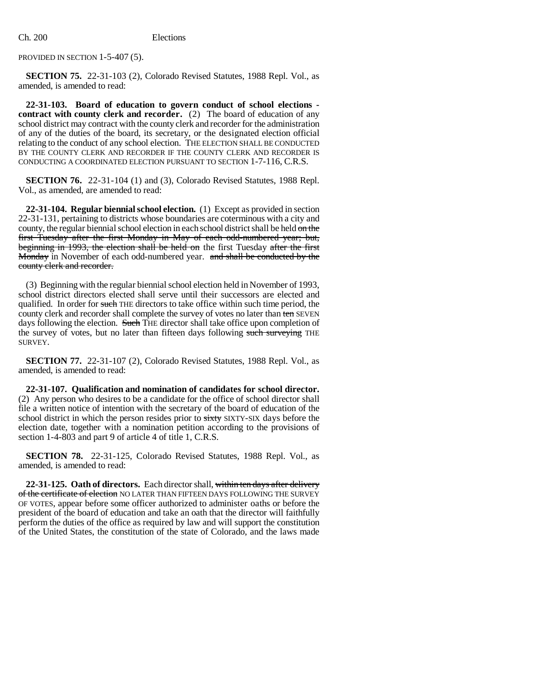PROVIDED IN SECTION 1-5-407 (5).

**SECTION 75.** 22-31-103 (2), Colorado Revised Statutes, 1988 Repl. Vol., as amended, is amended to read:

**22-31-103. Board of education to govern conduct of school elections contract with county clerk and recorder.** (2) The board of education of any school district may contract with the county clerk and recorder for the administration of any of the duties of the board, its secretary, or the designated election official relating to the conduct of any school election. THE ELECTION SHALL BE CONDUCTED BY THE COUNTY CLERK AND RECORDER IF THE COUNTY CLERK AND RECORDER IS CONDUCTING A COORDINATED ELECTION PURSUANT TO SECTION 1-7-116, C.R.S.

**SECTION 76.** 22-31-104 (1) and (3), Colorado Revised Statutes, 1988 Repl. Vol., as amended, are amended to read:

**22-31-104. Regular biennial school election.** (1) Except as provided in section 22-31-131, pertaining to districts whose boundaries are coterminous with a city and county, the regular biennial school election in each school district shall be held on the first Tuesday after the first Monday in May of each odd-numbered year; but, beginning in 1993, the election shall be held on the first Tuesday after the first Monday in November of each odd-numbered year. and shall be conducted by the county clerk and recorder.

(3) Beginning with the regular biennial school election held in November of 1993, school district directors elected shall serve until their successors are elected and qualified. In order for such THE directors to take office within such time period, the county clerk and recorder shall complete the survey of votes no later than ten SEVEN days following the election. Such THE director shall take office upon completion of the survey of votes, but no later than fifteen days following such surveying THE SURVEY.

**SECTION 77.** 22-31-107 (2), Colorado Revised Statutes, 1988 Repl. Vol., as amended, is amended to read:

**22-31-107. Qualification and nomination of candidates for school director.** (2) Any person who desires to be a candidate for the office of school director shall file a written notice of intention with the secretary of the board of education of the school district in which the person resides prior to sixty SIXTY-SIX days before the election date, together with a nomination petition according to the provisions of section 1-4-803 and part 9 of article 4 of title 1, C.R.S.

**SECTION 78.** 22-31-125, Colorado Revised Statutes, 1988 Repl. Vol., as amended, is amended to read:

**22-31-125. Oath of directors.** Each director shall, within ten days after delivery of the certificate of election NO LATER THAN FIFTEEN DAYS FOLLOWING THE SURVEY OF VOTES, appear before some officer authorized to administer oaths or before the president of the board of education and take an oath that the director will faithfully perform the duties of the office as required by law and will support the constitution of the United States, the constitution of the state of Colorado, and the laws made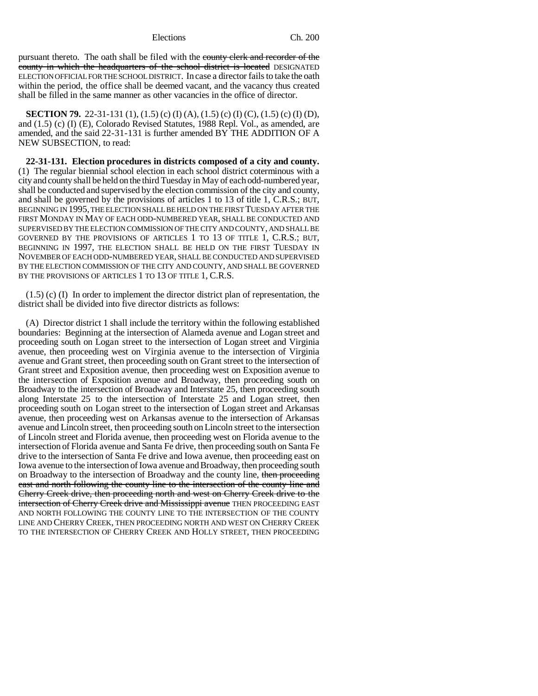pursuant thereto. The oath shall be filed with the county clerk and recorder of the county in which the headquarters of the school district is located DESIGNATED ELECTION OFFICIAL FOR THE SCHOOL DISTRICT. In case a director fails to take the oath within the period, the office shall be deemed vacant, and the vacancy thus created shall be filled in the same manner as other vacancies in the office of director.

**SECTION 79.** 22-31-131 (1), (1.5) (c) (I) (A), (1.5) (c) (I) (C), (1.5) (c) (I) (D), and (1.5) (c) (I) (E), Colorado Revised Statutes, 1988 Repl. Vol., as amended, are amended, and the said 22-31-131 is further amended BY THE ADDITION OF A NEW SUBSECTION, to read:

**22-31-131. Election procedures in districts composed of a city and county.** (1) The regular biennial school election in each school district coterminous with a city and county shall be held on the third Tuesday in May of each odd-numbered year, shall be conducted and supervised by the election commission of the city and county, and shall be governed by the provisions of articles 1 to 13 of title 1, C.R.S.; BUT, BEGINNING IN 1995, THE ELECTION SHALL BE HELD ON THE FIRST TUESDAY AFTER THE FIRST MONDAY IN MAY OF EACH ODD-NUMBERED YEAR, SHALL BE CONDUCTED AND SUPERVISED BY THE ELECTION COMMISSION OF THE CITY AND COUNTY, AND SHALL BE GOVERNED BY THE PROVISIONS OF ARTICLES 1 TO 13 OF TITLE 1, C.R.S.; BUT, BEGINNING IN 1997, THE ELECTION SHALL BE HELD ON THE FIRST TUESDAY IN NOVEMBER OF EACH ODD-NUMBERED YEAR, SHALL BE CONDUCTED AND SUPERVISED BY THE ELECTION COMMISSION OF THE CITY AND COUNTY, AND SHALL BE GOVERNED BY THE PROVISIONS OF ARTICLES 1 TO 13 OF TITLE 1, C.R.S.

(1.5) (c) (I) In order to implement the director district plan of representation, the district shall be divided into five director districts as follows:

(A) Director district 1 shall include the territory within the following established boundaries: Beginning at the intersection of Alameda avenue and Logan street and proceeding south on Logan street to the intersection of Logan street and Virginia avenue, then proceeding west on Virginia avenue to the intersection of Virginia avenue and Grant street, then proceeding south on Grant street to the intersection of Grant street and Exposition avenue, then proceeding west on Exposition avenue to the intersection of Exposition avenue and Broadway, then proceeding south on Broadway to the intersection of Broadway and Interstate 25, then proceeding south along Interstate 25 to the intersection of Interstate 25 and Logan street, then proceeding south on Logan street to the intersection of Logan street and Arkansas avenue, then proceeding west on Arkansas avenue to the intersection of Arkansas avenue and Lincoln street, then proceeding south on Lincoln street to the intersection of Lincoln street and Florida avenue, then proceeding west on Florida avenue to the intersection of Florida avenue and Santa Fe drive, then proceeding south on Santa Fe drive to the intersection of Santa Fe drive and Iowa avenue, then proceeding east on Iowa avenue to the intersection of Iowa avenue and Broadway, then proceeding south on Broadway to the intersection of Broadway and the county line, then proceeding east and north following the county line to the intersection of the county line and Cherry Creek drive, then proceeding north and west on Cherry Creek drive to the intersection of Cherry Creek drive and Mississippi avenue THEN PROCEEDING EAST AND NORTH FOLLOWING THE COUNTY LINE TO THE INTERSECTION OF THE COUNTY LINE AND CHERRY CREEK, THEN PROCEEDING NORTH AND WEST ON CHERRY CREEK TO THE INTERSECTION OF CHERRY CREEK AND HOLLY STREET, THEN PROCEEDING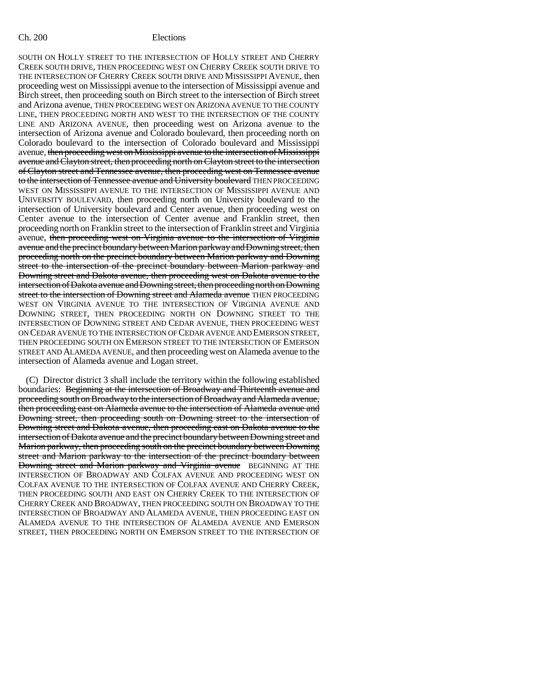SOUTH ON HOLLY STREET TO THE INTERSECTION OF HOLLY STREET AND CHERRY CREEK SOUTH DRIVE, THEN PROCEEDING WEST ON CHERRY CREEK SOUTH DRIVE TO THE INTERSECTION OF CHERRY CREEK SOUTH DRIVE AND MISSISSIPPI AVENUE, then proceeding west on Mississippi avenue to the intersection of Mississippi avenue and Birch street, then proceeding south on Birch street to the intersection of Birch street and Arizona avenue, THEN PROCEEDING WEST ON ARIZONA AVENUE TO THE COUNTY LINE, THEN PROCEEDING NORTH AND WEST TO THE INTERSECTION OF THE COUNTY LINE AND ARIZONA AVENUE, then proceeding west on Arizona avenue to the intersection of Arizona avenue and Colorado boulevard, then proceeding north on Colorado boulevard to the intersection of Colorado boulevard and Mississippi avenue, then proceeding west on Mississippi avenue to the intersection of Mississippi avenue and Clayton street, then proceeding north on Clayton street to the intersection of Clayton street and Tennessee avenue, then proceeding west on Tennessee avenue to the intersection of Tennessee avenue and University boulevard THEN PROCEEDING WEST ON MISSISSIPPI AVENUE TO THE INTERSECTION OF MISSISSIPPI AVENUE AND UNIVERSITY BOULEVARD, then proceeding north on University boulevard to the intersection of University boulevard and Center avenue, then proceeding west on Center avenue to the intersection of Center avenue and Franklin street, then proceeding north on Franklin street to the intersection of Franklin street and Virginia avenue, then proceeding west on Virginia avenue to the intersection of Virginia avenue and the precinct boundary between Marion parkway and Downing street, then proceeding north on the precinct boundary between Marion parkway and Downing street to the intersection of the precinct boundary between Marion parkway and Downing street and Dakota avenue, then proceeding west on Dakota avenue to the intersection of Dakota avenue and Downing street, then proceeding north on Downing street to the intersection of Downing street and Alameda avenue THEN PROCEEDING WEST ON VIRGINIA AVENUE TO THE INTERSECTION OF VIRGINIA AVENUE AND DOWNING STREET, THEN PROCEEDING NORTH ON DOWNING STREET TO THE INTERSECTION OF DOWNING STREET AND CEDAR AVENUE, THEN PROCEEDING WEST ON CEDAR AVENUE TO THE INTERSECTION OF CEDAR AVENUE AND EMERSON STREET, THEN PROCEEDING SOUTH ON EMERSON STREET TO THE INTERSECTION OF EMERSON STREET AND ALAMEDA AVENUE, and then proceeding west on Alameda avenue to the intersection of Alameda avenue and Logan street.

(C) Director district 3 shall include the territory within the following established boundaries: Beginning at the intersection of Broadway and Thirteenth avenue and proceeding south on Broadway to the intersection of Broadway and Alameda avenue, then proceeding east on Alameda avenue to the intersection of Alameda avenue and Downing street, then proceeding south on Downing street to the intersection of Downing street and Dakota avenue, then proceeding east on Dakota avenue to the intersection of Dakota avenue and the precinct boundary between Downing street and Marion parkway, then proceeding south on the precinct boundary between Downing street and Marion parkway to the intersection of the precinct boundary between **Downing street and Marion parkway and Virginia avenue** BEGINNING AT THE INTERSECTION OF BROADWAY AND COLFAX AVENUE AND PROCEEDING WEST ON COLFAX AVENUE TO THE INTERSECTION OF COLFAX AVENUE AND CHERRY CREEK, THEN PROCEEDING SOUTH AND EAST ON CHERRY CREEK TO THE INTERSECTION OF CHERRY CREEK AND BROADWAY, THEN PROCEEDING SOUTH ON BROADWAY TO THE INTERSECTION OF BROADWAY AND ALAMEDA AVENUE, THEN PROCEEDING EAST ON ALAMEDA AVENUE TO THE INTERSECTION OF ALAMEDA AVENUE AND EMERSON STREET, THEN PROCEEDING NORTH ON EMERSON STREET TO THE INTERSECTION OF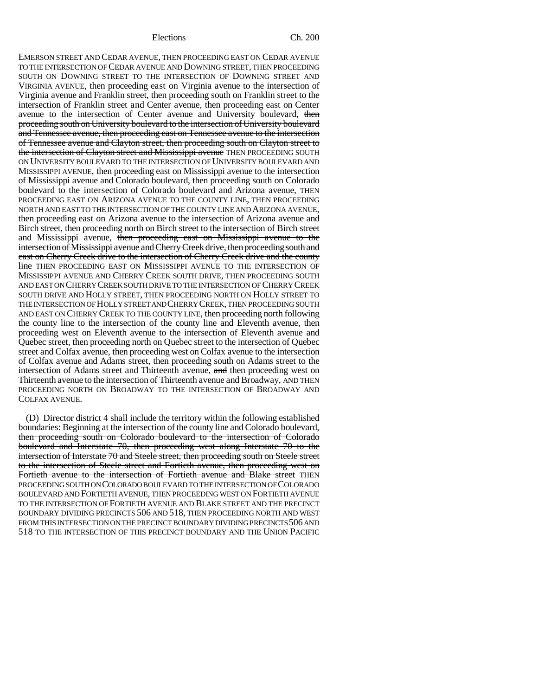EMERSON STREET AND CEDAR AVENUE, THEN PROCEEDING EAST ON CEDAR AVENUE TO THE INTERSECTION OF CEDAR AVENUE AND DOWNING STREET, THEN PROCEEDING SOUTH ON DOWNING STREET TO THE INTERSECTION OF DOWNING STREET AND VIRGINIA AVENUE, then proceeding east on Virginia avenue to the intersection of Virginia avenue and Franklin street, then proceeding south on Franklin street to the intersection of Franklin street and Center avenue, then proceeding east on Center avenue to the intersection of Center avenue and University boulevard, then proceeding south on University boulevard to the intersection of University boulevard and Tennessee avenue, then proceeding east on Tennessee avenue to the intersection of Tennessee avenue and Clayton street, then proceeding south on Clayton street to the intersection of Clayton street and Mississippi avenue THEN PROCEEDING SOUTH ON UNIVERSITY BOULEVARD TO THE INTERSECTION OF UNIVERSITY BOULEVARD AND MISSISSIPPI AVENUE, then proceeding east on Mississippi avenue to the intersection of Mississippi avenue and Colorado boulevard, then proceeding south on Colorado boulevard to the intersection of Colorado boulevard and Arizona avenue, THEN PROCEEDING EAST ON ARIZONA AVENUE TO THE COUNTY LINE, THEN PROCEEDING NORTH AND EAST TO THE INTERSECTION OF THE COUNTY LINE AND ARIZONA AVENUE, then proceeding east on Arizona avenue to the intersection of Arizona avenue and Birch street, then proceeding north on Birch street to the intersection of Birch street and Mississippi avenue, then proceeding east on Mississippi avenue to the intersection of Mississippi avenue and Cherry Creek drive, then proceeding south and east on Cherry Creek drive to the intersection of Cherry Creek drive and the county line THEN PROCEEDING EAST ON MISSISSIPPI AVENUE TO THE INTERSECTION OF MISSISSIPPI AVENUE AND CHERRY CREEK SOUTH DRIVE, THEN PROCEEDING SOUTH AND EAST ON CHERRY CREEK SOUTH DRIVE TO THE INTERSECTION OF CHERRY CREEK SOUTH DRIVE AND HOLLY STREET, THEN PROCEEDING NORTH ON HOLLY STREET TO THE INTERSECTION OF HOLLY STREET AND CHERRY CREEK, THEN PROCEEDING SOUTH AND EAST ON CHERRY CREEK TO THE COUNTY LINE, then proceeding north following the county line to the intersection of the county line and Eleventh avenue, then proceeding west on Eleventh avenue to the intersection of Eleventh avenue and Quebec street, then proceeding north on Quebec street to the intersection of Quebec street and Colfax avenue, then proceeding west on Colfax avenue to the intersection of Colfax avenue and Adams street, then proceeding south on Adams street to the intersection of Adams street and Thirteenth avenue, and then proceeding west on Thirteenth avenue to the intersection of Thirteenth avenue and Broadway, AND THEN PROCEEDING NORTH ON BROADWAY TO THE INTERSECTION OF BROADWAY AND COLFAX AVENUE.

(D) Director district 4 shall include the territory within the following established boundaries: Beginning at the intersection of the county line and Colorado boulevard, then proceeding south on Colorado boulevard to the intersection of Colorado boulevard and Interstate 70, then proceeding west along Interstate 70 to the intersection of Interstate 70 and Steele street, then proceeding south on Steele street to the intersection of Steele street and Fortieth avenue, then proceeding west on Fortieth avenue to the intersection of Fortieth avenue and Blake street THEN PROCEEDING SOUTH ON COLORADO BOULEVARD TO THE INTERSECTION OF COLORADO BOULEVARD AND FORTIETH AVENUE, THEN PROCEEDING WEST ON FORTIETH AVENUE TO THE INTERSECTION OF FORTIETH AVENUE AND BLAKE STREET AND THE PRECINCT BOUNDARY DIVIDING PRECINCTS 506 AND 518, THEN PROCEEDING NORTH AND WEST FROM THIS INTERSECTION ON THE PRECINCT BOUNDARY DIVIDING PRECINCTS 506 AND 518 TO THE INTERSECTION OF THIS PRECINCT BOUNDARY AND THE UNION PACIFIC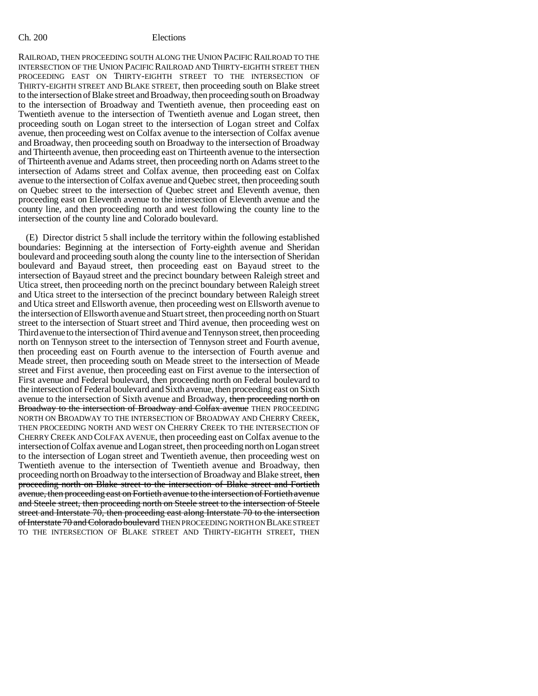RAILROAD, THEN PROCEEDING SOUTH ALONG THE UNION PACIFIC RAILROAD TO THE INTERSECTION OF THE UNION PACIFIC RAILROAD AND THIRTY-EIGHTH STREET THEN PROCEEDING EAST ON THIRTY-EIGHTH STREET TO THE INTERSECTION OF THIRTY-EIGHTH STREET AND BLAKE STREET, then proceeding south on Blake street to the intersection of Blake street and Broadway, then proceeding south on Broadway to the intersection of Broadway and Twentieth avenue, then proceeding east on Twentieth avenue to the intersection of Twentieth avenue and Logan street, then proceeding south on Logan street to the intersection of Logan street and Colfax avenue, then proceeding west on Colfax avenue to the intersection of Colfax avenue and Broadway, then proceeding south on Broadway to the intersection of Broadway and Thirteenth avenue, then proceeding east on Thirteenth avenue to the intersection of Thirteenth avenue and Adams street, then proceeding north on Adams street to the intersection of Adams street and Colfax avenue, then proceeding east on Colfax avenue to the intersection of Colfax avenue and Quebec street, then proceeding south on Quebec street to the intersection of Quebec street and Eleventh avenue, then proceeding east on Eleventh avenue to the intersection of Eleventh avenue and the county line, and then proceeding north and west following the county line to the intersection of the county line and Colorado boulevard.

(E) Director district 5 shall include the territory within the following established boundaries: Beginning at the intersection of Forty-eighth avenue and Sheridan boulevard and proceeding south along the county line to the intersection of Sheridan boulevard and Bayaud street, then proceeding east on Bayaud street to the intersection of Bayaud street and the precinct boundary between Raleigh street and Utica street, then proceeding north on the precinct boundary between Raleigh street and Utica street to the intersection of the precinct boundary between Raleigh street and Utica street and Ellsworth avenue, then proceeding west on Ellsworth avenue to the intersection of Ellsworth avenue and Stuart street, then proceeding north on Stuart street to the intersection of Stuart street and Third avenue, then proceeding west on Third avenue to the intersection of Third avenue and Tennyson street, then proceeding north on Tennyson street to the intersection of Tennyson street and Fourth avenue, then proceeding east on Fourth avenue to the intersection of Fourth avenue and Meade street, then proceeding south on Meade street to the intersection of Meade street and First avenue, then proceeding east on First avenue to the intersection of First avenue and Federal boulevard, then proceeding north on Federal boulevard to the intersection of Federal boulevard and Sixth avenue, then proceeding east on Sixth avenue to the intersection of Sixth avenue and Broadway, then proceeding north on Broadway to the intersection of Broadway and Colfax avenue THEN PROCEEDING NORTH ON BROADWAY TO THE INTERSECTION OF BROADWAY AND CHERRY CREEK, THEN PROCEEDING NORTH AND WEST ON CHERRY CREEK TO THE INTERSECTION OF CHERRY CREEK AND COLFAX AVENUE, then proceeding east on Colfax avenue to the intersection of Colfax avenue and Logan street, then proceeding north on Logan street to the intersection of Logan street and Twentieth avenue, then proceeding west on Twentieth avenue to the intersection of Twentieth avenue and Broadway, then proceeding north on Broadway to the intersection of Broadway and Blake street, then proceeding north on Blake street to the intersection of Blake street and Fortieth avenue, then proceeding east on Fortieth avenue to the intersection of Fortieth avenue and Steele street, then proceeding north on Steele street to the intersection of Steele street and Interstate 70, then proceeding east along Interstate 70 to the intersection of Interstate 70 and Colorado boulevard THEN PROCEEDING NORTH ON BLAKE STREET TO THE INTERSECTION OF BLAKE STREET AND THIRTY-EIGHTH STREET, THEN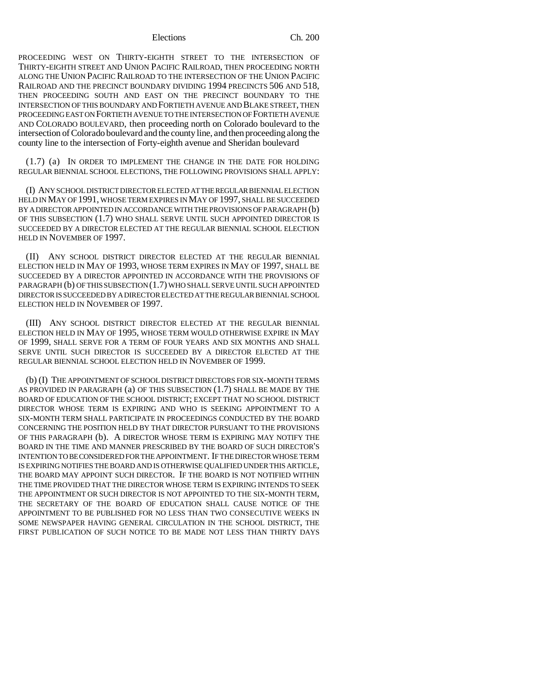PROCEEDING WEST ON THIRTY-EIGHTH STREET TO THE INTERSECTION OF THIRTY-EIGHTH STREET AND UNION PACIFIC RAILROAD, THEN PROCEEDING NORTH ALONG THE UNION PACIFIC RAILROAD TO THE INTERSECTION OF THE UNION PACIFIC RAILROAD AND THE PRECINCT BOUNDARY DIVIDING 1994 PRECINCTS 506 AND 518, THEN PROCEEDING SOUTH AND EAST ON THE PRECINCT BOUNDARY TO THE INTERSECTION OF THIS BOUNDARY AND FORTIETH AVENUE AND BLAKE STREET, THEN PROCEEDING EAST ON FORTIETH AVENUE TO THE INTERSECTION OF FORTIETH AVENUE AND COLORADO BOULEVARD, then proceeding north on Colorado boulevard to the intersection of Colorado boulevard and the county line, and then proceeding along the county line to the intersection of Forty-eighth avenue and Sheridan boulevard

(1.7) (a) IN ORDER TO IMPLEMENT THE CHANGE IN THE DATE FOR HOLDING REGULAR BIENNIAL SCHOOL ELECTIONS, THE FOLLOWING PROVISIONS SHALL APPLY:

(I) ANY SCHOOL DISTRICT DIRECTOR ELECTED AT THE REGULAR BIENNIAL ELECTION HELD IN MAY OF 1991, WHOSE TERM EXPIRES IN MAY OF 1997, SHALL BE SUCCEEDED BY A DIRECTOR APPOINTED IN ACCORDANCE WITH THE PROVISIONS OF PARAGRAPH (b) OF THIS SUBSECTION (1.7) WHO SHALL SERVE UNTIL SUCH APPOINTED DIRECTOR IS SUCCEEDED BY A DIRECTOR ELECTED AT THE REGULAR BIENNIAL SCHOOL ELECTION HELD IN NOVEMBER OF 1997.

(II) ANY SCHOOL DISTRICT DIRECTOR ELECTED AT THE REGULAR BIENNIAL ELECTION HELD IN MAY OF 1993, WHOSE TERM EXPIRES IN MAY OF 1997, SHALL BE SUCCEEDED BY A DIRECTOR APPOINTED IN ACCORDANCE WITH THE PROVISIONS OF PARAGRAPH (b) OF THIS SUBSECTION (1.7) WHO SHALL SERVE UNTIL SUCH APPOINTED DIRECTOR IS SUCCEEDED BY A DIRECTOR ELECTED AT THE REGULAR BIENNIAL SCHOOL ELECTION HELD IN NOVEMBER OF 1997.

(III) ANY SCHOOL DISTRICT DIRECTOR ELECTED AT THE REGULAR BIENNIAL ELECTION HELD IN MAY OF 1995, WHOSE TERM WOULD OTHERWISE EXPIRE IN MAY OF 1999, SHALL SERVE FOR A TERM OF FOUR YEARS AND SIX MONTHS AND SHALL SERVE UNTIL SUCH DIRECTOR IS SUCCEEDED BY A DIRECTOR ELECTED AT THE REGULAR BIENNIAL SCHOOL ELECTION HELD IN NOVEMBER OF 1999.

(b) (I) THE APPOINTMENT OF SCHOOL DISTRICT DIRECTORS FOR SIX-MONTH TERMS AS PROVIDED IN PARAGRAPH (a) OF THIS SUBSECTION (1.7) SHALL BE MADE BY THE BOARD OF EDUCATION OF THE SCHOOL DISTRICT; EXCEPT THAT NO SCHOOL DISTRICT DIRECTOR WHOSE TERM IS EXPIRING AND WHO IS SEEKING APPOINTMENT TO A SIX-MONTH TERM SHALL PARTICIPATE IN PROCEEDINGS CONDUCTED BY THE BOARD CONCERNING THE POSITION HELD BY THAT DIRECTOR PURSUANT TO THE PROVISIONS OF THIS PARAGRAPH (b). A DIRECTOR WHOSE TERM IS EXPIRING MAY NOTIFY THE BOARD IN THE TIME AND MANNER PRESCRIBED BY THE BOARD OF SUCH DIRECTOR'S INTENTION TO BE CONSIDERED FOR THE APPOINTMENT. IF THE DIRECTOR WHOSE TERM IS EXPIRING NOTIFIES THE BOARD AND IS OTHERWISE QUALIFIED UNDER THIS ARTICLE, THE BOARD MAY APPOINT SUCH DIRECTOR. IF THE BOARD IS NOT NOTIFIED WITHIN THE TIME PROVIDED THAT THE DIRECTOR WHOSE TERM IS EXPIRING INTENDS TO SEEK THE APPOINTMENT OR SUCH DIRECTOR IS NOT APPOINTED TO THE SIX-MONTH TERM, THE SECRETARY OF THE BOARD OF EDUCATION SHALL CAUSE NOTICE OF THE APPOINTMENT TO BE PUBLISHED FOR NO LESS THAN TWO CONSECUTIVE WEEKS IN SOME NEWSPAPER HAVING GENERAL CIRCULATION IN THE SCHOOL DISTRICT, THE FIRST PUBLICATION OF SUCH NOTICE TO BE MADE NOT LESS THAN THIRTY DAYS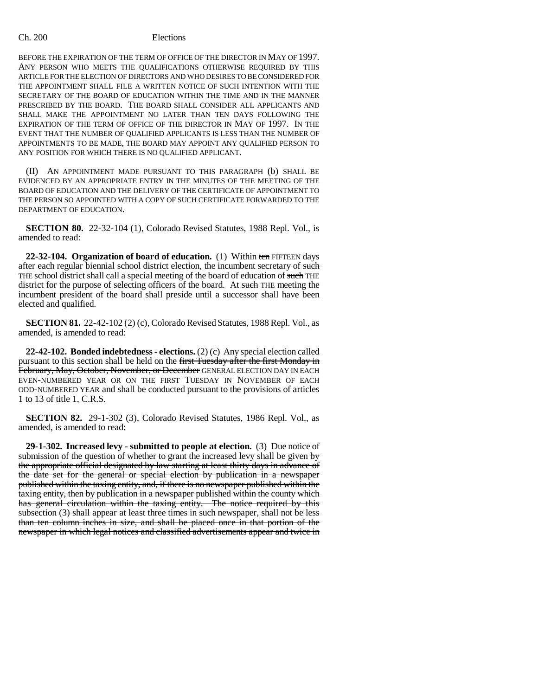BEFORE THE EXPIRATION OF THE TERM OF OFFICE OF THE DIRECTOR IN MAY OF 1997. ANY PERSON WHO MEETS THE QUALIFICATIONS OTHERWISE REQUIRED BY THIS ARTICLE FOR THE ELECTION OF DIRECTORS AND WHO DESIRES TO BE CONSIDERED FOR THE APPOINTMENT SHALL FILE A WRITTEN NOTICE OF SUCH INTENTION WITH THE SECRETARY OF THE BOARD OF EDUCATION WITHIN THE TIME AND IN THE MANNER PRESCRIBED BY THE BOARD. THE BOARD SHALL CONSIDER ALL APPLICANTS AND SHALL MAKE THE APPOINTMENT NO LATER THAN TEN DAYS FOLLOWING THE EXPIRATION OF THE TERM OF OFFICE OF THE DIRECTOR IN MAY OF 1997. IN THE EVENT THAT THE NUMBER OF QUALIFIED APPLICANTS IS LESS THAN THE NUMBER OF APPOINTMENTS TO BE MADE, THE BOARD MAY APPOINT ANY QUALIFIED PERSON TO ANY POSITION FOR WHICH THERE IS NO QUALIFIED APPLICANT.

(II) AN APPOINTMENT MADE PURSUANT TO THIS PARAGRAPH (b) SHALL BE EVIDENCED BY AN APPROPRIATE ENTRY IN THE MINUTES OF THE MEETING OF THE BOARD OF EDUCATION AND THE DELIVERY OF THE CERTIFICATE OF APPOINTMENT TO THE PERSON SO APPOINTED WITH A COPY OF SUCH CERTIFICATE FORWARDED TO THE DEPARTMENT OF EDUCATION.

**SECTION 80.** 22-32-104 (1), Colorado Revised Statutes, 1988 Repl. Vol., is amended to read:

**22-32-104. Organization of board of education.** (1) Within ten FIFTEEN days after each regular biennial school district election, the incumbent secretary of such THE school district shall call a special meeting of the board of education of such THE district for the purpose of selecting officers of the board. At such THE meeting the incumbent president of the board shall preside until a successor shall have been elected and qualified.

**SECTION 81.** 22-42-102 (2) (c), Colorado Revised Statutes, 1988 Repl. Vol., as amended, is amended to read:

**22-42-102. Bonded indebtedness - elections.** (2) (c) Any special election called pursuant to this section shall be held on the first Tuesday after the first Monday in February, May, October, November, or December GENERAL ELECTION DAY IN EACH EVEN-NUMBERED YEAR OR ON THE FIRST TUESDAY IN NOVEMBER OF EACH ODD-NUMBERED YEAR and shall be conducted pursuant to the provisions of articles 1 to 13 of title 1, C.R.S.

**SECTION 82.** 29-1-302 (3), Colorado Revised Statutes, 1986 Repl. Vol., as amended, is amended to read:

**29-1-302. Increased levy - submitted to people at election.** (3) Due notice of submission of the question of whether to grant the increased levy shall be given  $\frac{1}{y}$ the appropriate official designated by law starting at least thirty days in advance of the date set for the general or special election by publication in a newspaper published within the taxing entity, and, if there is no newspaper published within the taxing entity, then by publication in a newspaper published within the county which has general circulation within the taxing entity. The notice required by this subsection (3) shall appear at least three times in such newspaper, shall not be less than ten column inches in size, and shall be placed once in that portion of the newspaper in which legal notices and classified advertisements appear and twice in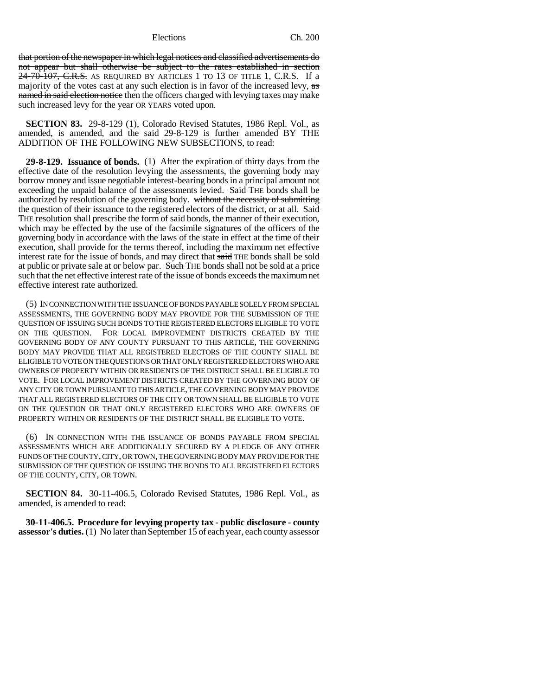that portion of the newspaper in which legal notices and classified advertisements do not appear but shall otherwise be subject to the rates established in section  $24-70-107$ , C.R.S. AS REQUIRED BY ARTICLES 1 TO 13 OF TITLE 1, C.R.S. If a majority of the votes cast at any such election is in favor of the increased levy, as named in said election notice then the officers charged with levying taxes may make such increased levy for the year OR YEARS voted upon.

**SECTION 83.** 29-8-129 (1), Colorado Revised Statutes, 1986 Repl. Vol., as amended, is amended, and the said 29-8-129 is further amended BY THE ADDITION OF THE FOLLOWING NEW SUBSECTIONS, to read:

**29-8-129. Issuance of bonds.** (1) After the expiration of thirty days from the effective date of the resolution levying the assessments, the governing body may borrow money and issue negotiable interest-bearing bonds in a principal amount not exceeding the unpaid balance of the assessments levied. Said THE bonds shall be authorized by resolution of the governing body. without the necessity of submitting the question of their issuance to the registered electors of the district, or at all. Said THE resolution shall prescribe the form of said bonds, the manner of their execution, which may be effected by the use of the facsimile signatures of the officers of the governing body in accordance with the laws of the state in effect at the time of their execution, shall provide for the terms thereof, including the maximum net effective interest rate for the issue of bonds, and may direct that said THE bonds shall be sold at public or private sale at or below par. Such THE bonds shall not be sold at a price such that the net effective interest rate of the issue of bonds exceeds the maximum net effective interest rate authorized.

(5) IN CONNECTION WITH THE ISSUANCE OF BONDS PAYABLE SOLELY FROM SPECIAL ASSESSMENTS, THE GOVERNING BODY MAY PROVIDE FOR THE SUBMISSION OF THE QUESTION OF ISSUING SUCH BONDS TO THE REGISTERED ELECTORS ELIGIBLE TO VOTE ON THE QUESTION. FOR LOCAL IMPROVEMENT DISTRICTS CREATED BY THE GOVERNING BODY OF ANY COUNTY PURSUANT TO THIS ARTICLE, THE GOVERNING BODY MAY PROVIDE THAT ALL REGISTERED ELECTORS OF THE COUNTY SHALL BE ELIGIBLE TO VOTE ON THE QUESTIONS OR THAT ONLY REGISTERED ELECTORS WHO ARE OWNERS OF PROPERTY WITHIN OR RESIDENTS OF THE DISTRICT SHALL BE ELIGIBLE TO VOTE. FOR LOCAL IMPROVEMENT DISTRICTS CREATED BY THE GOVERNING BODY OF ANY CITY OR TOWN PURSUANT TO THIS ARTICLE, THE GOVERNING BODY MAY PROVIDE THAT ALL REGISTERED ELECTORS OF THE CITY OR TOWN SHALL BE ELIGIBLE TO VOTE ON THE QUESTION OR THAT ONLY REGISTERED ELECTORS WHO ARE OWNERS OF PROPERTY WITHIN OR RESIDENTS OF THE DISTRICT SHALL BE ELIGIBLE TO VOTE.

(6) IN CONNECTION WITH THE ISSUANCE OF BONDS PAYABLE FROM SPECIAL ASSESSMENTS WHICH ARE ADDITIONALLY SECURED BY A PLEDGE OF ANY OTHER FUNDS OF THE COUNTY, CITY, OR TOWN, THE GOVERNING BODY MAY PROVIDE FOR THE SUBMISSION OF THE QUESTION OF ISSUING THE BONDS TO ALL REGISTERED ELECTORS OF THE COUNTY, CITY, OR TOWN.

**SECTION 84.** 30-11-406.5, Colorado Revised Statutes, 1986 Repl. Vol., as amended, is amended to read:

**30-11-406.5. Procedure for levying property tax - public disclosure - county assessor's duties.** (1) No later than September 15 of each year, each county assessor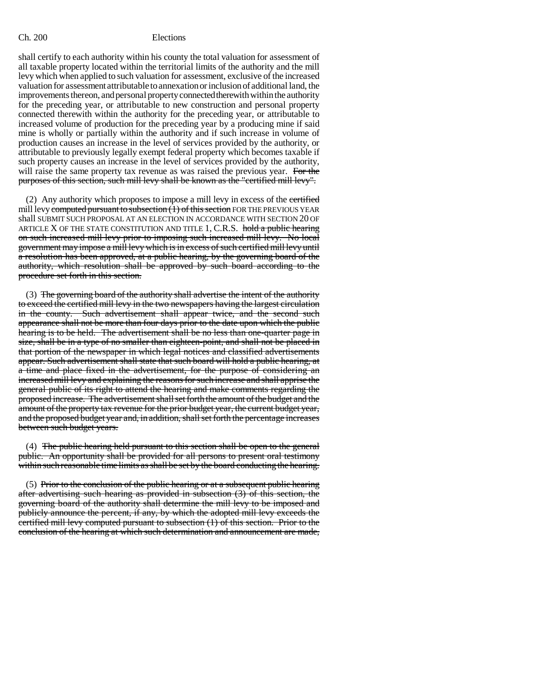shall certify to each authority within his county the total valuation for assessment of all taxable property located within the territorial limits of the authority and the mill levy which when applied to such valuation for assessment, exclusive of the increased valuation for assessment attributable to annexation or inclusion of additional land, the improvements thereon, and personal property connected therewith within the authority for the preceding year, or attributable to new construction and personal property connected therewith within the authority for the preceding year, or attributable to increased volume of production for the preceding year by a producing mine if said mine is wholly or partially within the authority and if such increase in volume of production causes an increase in the level of services provided by the authority, or attributable to previously legally exempt federal property which becomes taxable if such property causes an increase in the level of services provided by the authority, will raise the same property tax revenue as was raised the previous year. For the purposes of this section, such mill levy shall be known as the "certified mill levy".

(2) Any authority which proposes to impose a mill levy in excess of the certified mill levy computed pursuant to subsection  $(1)$  of this section FOR THE PREVIOUS YEAR shall SUBMIT SUCH PROPOSAL AT AN ELECTION IN ACCORDANCE WITH SECTION 20 OF ARTICLE  $X$  OF THE STATE CONSTITUTION AND TITLE 1, C.R.S. hold a public hearing on such increased mill levy prior to imposing such increased mill levy. No local government may impose a mill levy which is in excess of such certified mill levy until a resolution has been approved, at a public hearing, by the governing board of the authority, which resolution shall be approved by such board according to the procedure set forth in this section.

(3) The governing board of the authority shall advertise the intent of the authority to exceed the certified mill levy in the two newspapers having the largest circulation in the county. Such advertisement shall appear twice, and the second such appearance shall not be more than four days prior to the date upon which the public hearing is to be held. The advertisement shall be no less than one-quarter page in size, shall be in a type of no smaller than eighteen-point, and shall not be placed in that portion of the newspaper in which legal notices and classified advertisements appear. Such advertisement shall state that such board will hold a public hearing, at a time and place fixed in the advertisement, for the purpose of considering an increased mill levy and explaining the reasons for such increase and shall apprise the general public of its right to attend the hearing and make comments regarding the proposed increase. The advertisement shall set forth the amount of the budget and the amount of the property tax revenue for the prior budget year, the current budget year, and the proposed budget year and, in addition, shall set forth the percentage increases between such budget years.

(4) The public hearing held pursuant to this section shall be open to the general public. An opportunity shall be provided for all persons to present oral testimony within such reasonable time limits as shall be set by the board conducting the hearing.

 $(5)$  Prior to the conclusion of the public hearing or at a subsequent public hearing after advertising such hearing as provided in subsection  $(3)$  of this section, the governing board of the authority shall determine the mill levy to be imposed and publicly announce the percent, if any, by which the adopted mill levy exceeds the certified mill levy computed pursuant to subsection (1) of this section. Prior to the conclusion of the hearing at which such determination and announcement are made,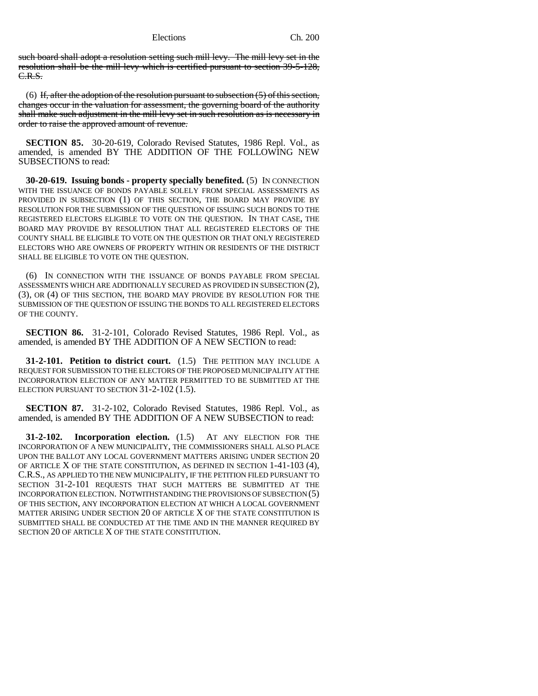such board shall adopt a resolution setting such mill levy. The mill levy set in the resolution shall be the mill levy which is certified pursuant to section 39-5-128, C.R.S.

(6) If, after the adoption of the resolution pursuant to subsection  $(5)$  of this section, changes occur in the valuation for assessment, the governing board of the authority shall make such adjustment in the mill levy set in such resolution as is necessary in order to raise the approved amount of revenue.

**SECTION 85.** 30-20-619, Colorado Revised Statutes, 1986 Repl. Vol., as amended, is amended BY THE ADDITION OF THE FOLLOWING NEW SUBSECTIONS to read:

**30-20-619. Issuing bonds - property specially benefited.** (5) IN CONNECTION WITH THE ISSUANCE OF BONDS PAYABLE SOLELY FROM SPECIAL ASSESSMENTS AS PROVIDED IN SUBSECTION (1) OF THIS SECTION, THE BOARD MAY PROVIDE BY RESOLUTION FOR THE SUBMISSION OF THE QUESTION OF ISSUING SUCH BONDS TO THE REGISTERED ELECTORS ELIGIBLE TO VOTE ON THE QUESTION. IN THAT CASE, THE BOARD MAY PROVIDE BY RESOLUTION THAT ALL REGISTERED ELECTORS OF THE COUNTY SHALL BE ELIGIBLE TO VOTE ON THE QUESTION OR THAT ONLY REGISTERED ELECTORS WHO ARE OWNERS OF PROPERTY WITHIN OR RESIDENTS OF THE DISTRICT SHALL BE ELIGIBLE TO VOTE ON THE QUESTION.

(6) IN CONNECTION WITH THE ISSUANCE OF BONDS PAYABLE FROM SPECIAL ASSESSMENTS WHICH ARE ADDITIONALLY SECURED AS PROVIDED IN SUBSECTION (2), (3), OR (4) OF THIS SECTION, THE BOARD MAY PROVIDE BY RESOLUTION FOR THE SUBMISSION OF THE QUESTION OF ISSUING THE BONDS TO ALL REGISTERED ELECTORS OF THE COUNTY.

**SECTION 86.** 31-2-101, Colorado Revised Statutes, 1986 Repl. Vol., as amended, is amended BY THE ADDITION OF A NEW SECTION to read:

**31-2-101. Petition to district court.** (1.5) THE PETITION MAY INCLUDE A REQUEST FOR SUBMISSION TO THE ELECTORS OF THE PROPOSED MUNICIPALITY AT THE INCORPORATION ELECTION OF ANY MATTER PERMITTED TO BE SUBMITTED AT THE ELECTION PURSUANT TO SECTION 31-2-102 (1.5).

**SECTION 87.** 31-2-102, Colorado Revised Statutes, 1986 Repl. Vol., as amended, is amended BY THE ADDITION OF A NEW SUBSECTION to read:

**31-2-102. Incorporation election.** (1.5) AT ANY ELECTION FOR THE INCORPORATION OF A NEW MUNICIPALITY, THE COMMISSIONERS SHALL ALSO PLACE UPON THE BALLOT ANY LOCAL GOVERNMENT MATTERS ARISING UNDER SECTION 20 OF ARTICLE X OF THE STATE CONSTITUTION, AS DEFINED IN SECTION 1-41-103 (4), C.R.S., AS APPLIED TO THE NEW MUNICIPALITY, IF THE PETITION FILED PURSUANT TO SECTION 31-2-101 REQUESTS THAT SUCH MATTERS BE SUBMITTED AT THE INCORPORATION ELECTION. NOTWITHSTANDING THE PROVISIONS OF SUBSECTION (5) OF THIS SECTION, ANY INCORPORATION ELECTION AT WHICH A LOCAL GOVERNMENT MATTER ARISING UNDER SECTION 20 OF ARTICLE X OF THE STATE CONSTITUTION IS SUBMITTED SHALL BE CONDUCTED AT THE TIME AND IN THE MANNER REQUIRED BY SECTION 20 OF ARTICLE X OF THE STATE CONSTITUTION.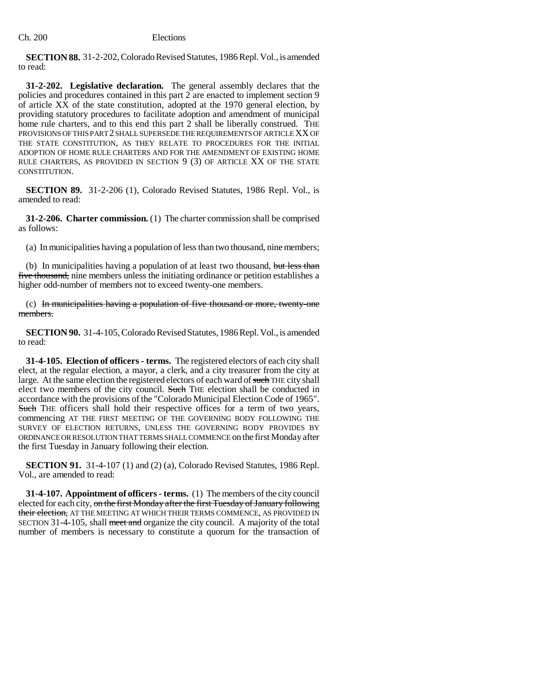**SECTION 88.** 31-2-202, Colorado Revised Statutes, 1986 Repl. Vol., is amended to read:

**31-2-202. Legislative declaration.** The general assembly declares that the policies and procedures contained in this part 2 are enacted to implement section 9 of article XX of the state constitution, adopted at the 1970 general election, by providing statutory procedures to facilitate adoption and amendment of municipal home rule charters, and to this end this part 2 shall be liberally construed. THE PROVISIONS OF THIS PART 2 SHALL SUPERSEDE THE REQUIREMENTS OF ARTICLE XX OF THE STATE CONSTITUTION, AS THEY RELATE TO PROCEDURES FOR THE INITIAL ADOPTION OF HOME RULE CHARTERS AND FOR THE AMENDMENT OF EXISTING HOME RULE CHARTERS, AS PROVIDED IN SECTION 9 (3) OF ARTICLE XX OF THE STATE CONSTITUTION.

**SECTION 89.** 31-2-206 (1), Colorado Revised Statutes, 1986 Repl. Vol., is amended to read:

**31-2-206. Charter commission.** (1) The charter commission shall be comprised as follows:

(a) In municipalities having a population of less than two thousand, nine members;

(b) In municipalities having a population of at least two thousand, but less than five thousand, nine members unless the initiating ordinance or petition establishes a higher odd-number of members not to exceed twenty-one members.

(c) In municipalities having a population of five thousand or more, twenty-one members.

**SECTION 90.** 31-4-105, Colorado Revised Statutes, 1986 Repl. Vol., is amended to read:

**31-4-105. Election of officers - terms.** The registered electors of each city shall elect, at the regular election, a mayor, a clerk, and a city treasurer from the city at large. At the same election the registered electors of each ward of such THE city shall elect two members of the city council. Such THE election shall be conducted in accordance with the provisions of the "Colorado Municipal Election Code of 1965". Such THE officers shall hold their respective offices for a term of two years, commencing AT THE FIRST MEETING OF THE GOVERNING BODY FOLLOWING THE SURVEY OF ELECTION RETURNS, UNLESS THE GOVERNING BODY PROVIDES BY ORDINANCE OR RESOLUTION THAT TERMS SHALL COMMENCE on the first Monday after the first Tuesday in January following their election.

**SECTION 91.** 31-4-107 (1) and (2) (a), Colorado Revised Statutes, 1986 Repl. Vol., are amended to read:

**31-4-107. Appointment of officers - terms.** (1) The members of the city council elected for each city, on the first Monday after the first Tuesday of January following their election, AT THE MEETING AT WHICH THEIR TERMS COMMENCE, AS PROVIDED IN SECTION 31-4-105, shall meet and organize the city council. A majority of the total number of members is necessary to constitute a quorum for the transaction of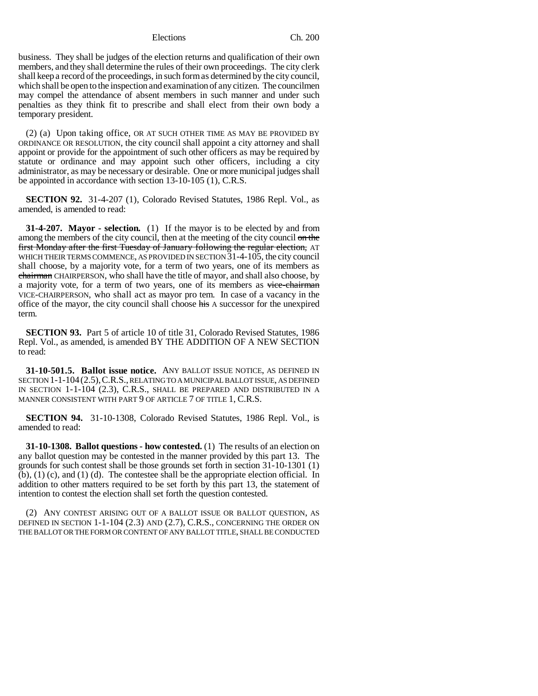business. They shall be judges of the election returns and qualification of their own members, and they shall determine the rules of their own proceedings. The city clerk shall keep a record of the proceedings, in such form as determined by the city council, which shall be open to the inspection and examination of any citizen. The councilmen may compel the attendance of absent members in such manner and under such penalties as they think fit to prescribe and shall elect from their own body a temporary president.

(2) (a) Upon taking office, OR AT SUCH OTHER TIME AS MAY BE PROVIDED BY ORDINANCE OR RESOLUTION, the city council shall appoint a city attorney and shall appoint or provide for the appointment of such other officers as may be required by statute or ordinance and may appoint such other officers, including a city administrator, as may be necessary or desirable. One or more municipal judges shall be appointed in accordance with section 13-10-105 (1), C.R.S.

**SECTION 92.** 31-4-207 (1), Colorado Revised Statutes, 1986 Repl. Vol., as amended, is amended to read:

**31-4-207. Mayor - selection.** (1) If the mayor is to be elected by and from among the members of the city council, then at the meeting of the city council on the first Monday after the first Tuesday of January following the regular election, AT WHICH THEIR TERMS COMMENCE, AS PROVIDED IN SECTION 31-4-105, the city council shall choose, by a majority vote, for a term of two years, one of its members as chairman CHAIRPERSON, who shall have the title of mayor, and shall also choose, by a majority vote, for a term of two years, one of its members as vice-chairman VICE-CHAIRPERSON, who shall act as mayor pro tem. In case of a vacancy in the office of the mayor, the city council shall choose his A successor for the unexpired term.

**SECTION 93.** Part 5 of article 10 of title 31, Colorado Revised Statutes, 1986 Repl. Vol., as amended, is amended BY THE ADDITION OF A NEW SECTION to read:

**31-10-501.5. Ballot issue notice.** ANY BALLOT ISSUE NOTICE, AS DEFINED IN SECTION 1-1-104(2.5),C.R.S., RELATING TO A MUNICIPAL BALLOT ISSUE, AS DEFINED IN SECTION 1-1-104 (2.3), C.R.S., SHALL BE PREPARED AND DISTRIBUTED IN A MANNER CONSISTENT WITH PART 9 OF ARTICLE 7 OF TITLE 1, C.R.S.

**SECTION 94.** 31-10-1308, Colorado Revised Statutes, 1986 Repl. Vol., is amended to read:

**31-10-1308. Ballot questions - how contested.** (1) The results of an election on any ballot question may be contested in the manner provided by this part 13. The grounds for such contest shall be those grounds set forth in section 31-10-1301 (1) (b), (1) (c), and (1) (d). The contestee shall be the appropriate election official. In addition to other matters required to be set forth by this part 13, the statement of intention to contest the election shall set forth the question contested.

(2) ANY CONTEST ARISING OUT OF A BALLOT ISSUE OR BALLOT QUESTION, AS DEFINED IN SECTION 1-1-104 (2.3) AND (2.7), C.R.S., CONCERNING THE ORDER ON THE BALLOT OR THE FORM OR CONTENT OF ANY BALLOT TITLE, SHALL BE CONDUCTED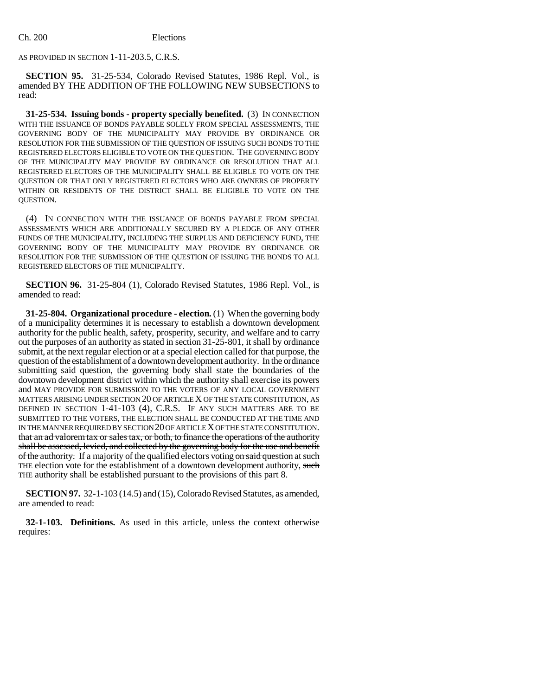AS PROVIDED IN SECTION 1-11-203.5, C.R.S.

**SECTION 95.** 31-25-534, Colorado Revised Statutes, 1986 Repl. Vol., is amended BY THE ADDITION OF THE FOLLOWING NEW SUBSECTIONS to read:

**31-25-534. Issuing bonds - property specially benefited.** (3) IN CONNECTION WITH THE ISSUANCE OF BONDS PAYABLE SOLELY FROM SPECIAL ASSESSMENTS, THE GOVERNING BODY OF THE MUNICIPALITY MAY PROVIDE BY ORDINANCE OR RESOLUTION FOR THE SUBMISSION OF THE QUESTION OF ISSUING SUCH BONDS TO THE REGISTERED ELECTORS ELIGIBLE TO VOTE ON THE QUESTION. THE GOVERNING BODY OF THE MUNICIPALITY MAY PROVIDE BY ORDINANCE OR RESOLUTION THAT ALL REGISTERED ELECTORS OF THE MUNICIPALITY SHALL BE ELIGIBLE TO VOTE ON THE QUESTION OR THAT ONLY REGISTERED ELECTORS WHO ARE OWNERS OF PROPERTY WITHIN OR RESIDENTS OF THE DISTRICT SHALL BE ELIGIBLE TO VOTE ON THE QUESTION.

(4) IN CONNECTION WITH THE ISSUANCE OF BONDS PAYABLE FROM SPECIAL ASSESSMENTS WHICH ARE ADDITIONALLY SECURED BY A PLEDGE OF ANY OTHER FUNDS OF THE MUNICIPALITY, INCLUDING THE SURPLUS AND DEFICIENCY FUND, THE GOVERNING BODY OF THE MUNICIPALITY MAY PROVIDE BY ORDINANCE OR RESOLUTION FOR THE SUBMISSION OF THE QUESTION OF ISSUING THE BONDS TO ALL REGISTERED ELECTORS OF THE MUNICIPALITY.

**SECTION 96.** 31-25-804 (1), Colorado Revised Statutes, 1986 Repl. Vol., is amended to read:

**31-25-804. Organizational procedure - election.** (1) When the governing body of a municipality determines it is necessary to establish a downtown development authority for the public health, safety, prosperity, security, and welfare and to carry out the purposes of an authority as stated in section 31-25-801, it shall by ordinance submit, at the next regular election or at a special election called for that purpose, the question of the establishment of a downtown development authority. In the ordinance submitting said question, the governing body shall state the boundaries of the downtown development district within which the authority shall exercise its powers and MAY PROVIDE FOR SUBMISSION TO THE VOTERS OF ANY LOCAL GOVERNMENT MATTERS ARISING UNDER SECTION 20 OF ARTICLE X OF THE STATE CONSTITUTION, AS DEFINED IN SECTION 1-41-103 (4), C.R.S. IF ANY SUCH MATTERS ARE TO BE SUBMITTED TO THE VOTERS, THE ELECTION SHALL BE CONDUCTED AT THE TIME AND IN THE MANNER REQUIRED BY SECTION 20 OF ARTICLE X OF THE STATE CONSTITUTION. that an ad valorem tax or sales tax, or both, to finance the operations of the authority shall be assessed, levied, and collected by the governing body for the use and benefit of the authority. If a majority of the qualified electors voting on said question at such THE election vote for the establishment of a downtown development authority, such THE authority shall be established pursuant to the provisions of this part 8.

**SECTION 97.** 32-1-103 (14.5) and (15), Colorado Revised Statutes, as amended, are amended to read:

**32-1-103. Definitions.** As used in this article, unless the context otherwise requires: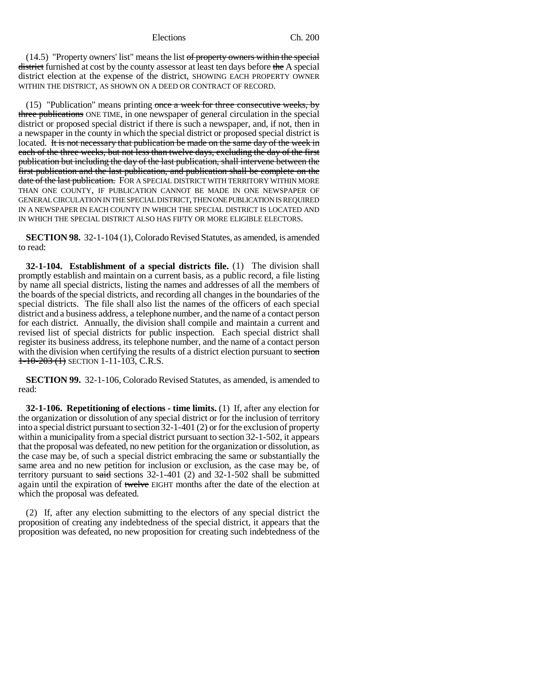(14.5) "Property owners' list" means the list of property owners within the special district furnished at cost by the county assessor at least ten days before the A special district election at the expense of the district, SHOWING EACH PROPERTY OWNER WITHIN THE DISTRICT, AS SHOWN ON A DEED OR CONTRACT OF RECORD.

(15) "Publication" means printing once a week for three consecutive weeks, by three publications ONE TIME, in one newspaper of general circulation in the special district or proposed special district if there is such a newspaper, and, if not, then in a newspaper in the county in which the special district or proposed special district is located. It is not necessary that publication be made on the same day of the week in each of the three weeks, but not less than twelve days, excluding the day of the first publication but including the day of the last publication, shall intervene between the first publication and the last publication, and publication shall be complete on the date of the last publication. FOR A SPECIAL DISTRICT WITH TERRITORY WITHIN MORE THAN ONE COUNTY, IF PUBLICATION CANNOT BE MADE IN ONE NEWSPAPER OF GENERAL CIRCULATION IN THE SPECIAL DISTRICT, THEN ONE PUBLICATION IS REQUIRED IN A NEWSPAPER IN EACH COUNTY IN WHICH THE SPECIAL DISTRICT IS LOCATED AND IN WHICH THE SPECIAL DISTRICT ALSO HAS FIFTY OR MORE ELIGIBLE ELECTORS.

**SECTION 98.** 32-1-104 (1), Colorado Revised Statutes, as amended, is amended to read:

**32-1-104. Establishment of a special districts file.** (1) The division shall promptly establish and maintain on a current basis, as a public record, a file listing by name all special districts, listing the names and addresses of all the members of the boards of the special districts, and recording all changes in the boundaries of the special districts. The file shall also list the names of the officers of each special district and a business address, a telephone number, and the name of a contact person for each district. Annually, the division shall compile and maintain a current and revised list of special districts for public inspection. Each special district shall register its business address, its telephone number, and the name of a contact person with the division when certifying the results of a district election pursuant to section  $1-10-203$  (1) SECTION 1-11-103, C.R.S.

**SECTION 99.** 32-1-106, Colorado Revised Statutes, as amended, is amended to read:

**32-1-106. Repetitioning of elections - time limits.** (1) If, after any election for the organization or dissolution of any special district or for the inclusion of territory into a special district pursuant to section 32-1-401 (2) or for the exclusion of property within a municipality from a special district pursuant to section 32-1-502, it appears that the proposal was defeated, no new petition for the organization or dissolution, as the case may be, of such a special district embracing the same or substantially the same area and no new petition for inclusion or exclusion, as the case may be, of territory pursuant to said sections  $32-1-401$  (2) and  $32-1-502$  shall be submitted again until the expiration of twelve EIGHT months after the date of the election at which the proposal was defeated.

(2) If, after any election submitting to the electors of any special district the proposition of creating any indebtedness of the special district, it appears that the proposition was defeated, no new proposition for creating such indebtedness of the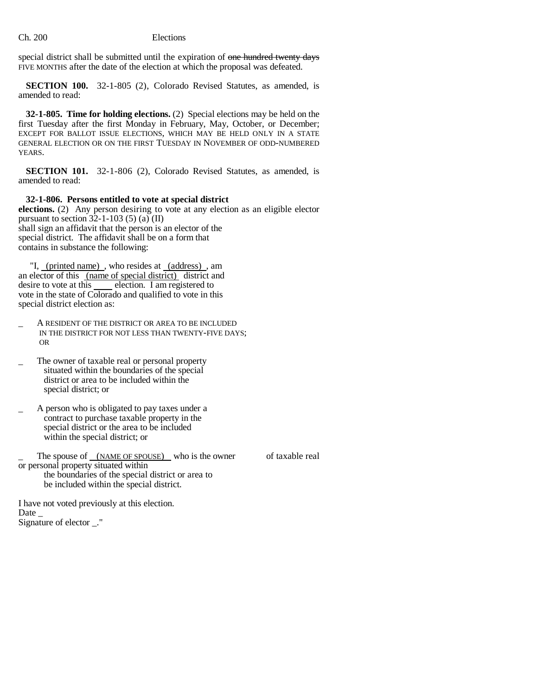special district shall be submitted until the expiration of one hundred twenty days FIVE MONTHS after the date of the election at which the proposal was defeated.

**SECTION 100.** 32-1-805 (2), Colorado Revised Statutes, as amended, is amended to read:

**32-1-805. Time for holding elections.** (2) Special elections may be held on the first Tuesday after the first Monday in February, May, October, or December; EXCEPT FOR BALLOT ISSUE ELECTIONS, WHICH MAY BE HELD ONLY IN A STATE GENERAL ELECTION OR ON THE FIRST TUESDAY IN NOVEMBER OF ODD-NUMBERED YEARS.

**SECTION 101.** 32-1-806 (2), Colorado Revised Statutes, as amended, is amended to read:

**32-1-806. Persons entitled to vote at special district**

**elections.** (2) Any person desiring to vote at any election as an eligible elector pursuant to section  $32-1-103$  (5) (a) (II) shall sign an affidavit that the person is an elector of the special district. The affidavit shall be on a form that contains in substance the following:

 "I, (printed name) , who resides at (address) , am an elector of this (name of special district) district and desire to vote at this election. I am registered to vote in the state of Colorado and qualified to vote in this special district election as:

- \_ A RESIDENT OF THE DISTRICT OR AREA TO BE INCLUDED IN THE DISTRICT FOR NOT LESS THAN TWENTY-FIVE DAYS; OR
- The owner of taxable real or personal property situated within the boundaries of the special district or area to be included within the special district; or
- \_ A person who is obligated to pay taxes under a contract to purchase taxable property in the special district or the area to be included within the special district; or

The spouse of (NAME OF SPOUSE) who is the owner of taxable real or personal property situated within the boundaries of the special district or area to be included within the special district.

I have not voted previously at this election. Date  $\_$ Signature of elector \_."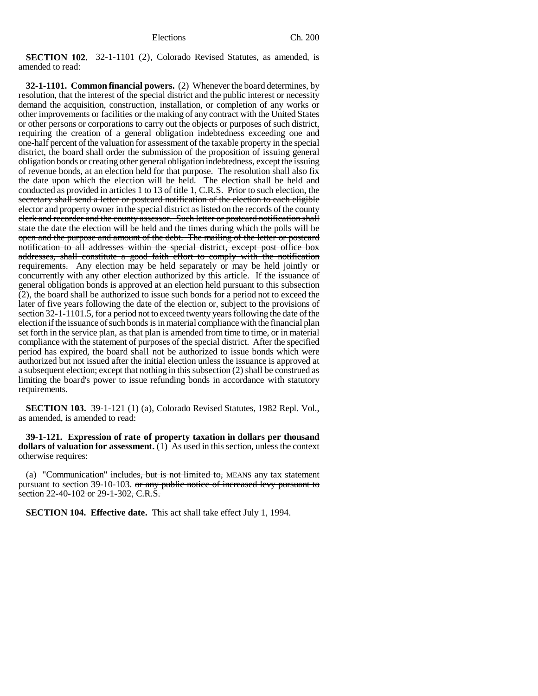**SECTION 102.** 32-1-1101 (2), Colorado Revised Statutes, as amended, is amended to read:

**32-1-1101. Common financial powers.** (2) Whenever the board determines, by resolution, that the interest of the special district and the public interest or necessity demand the acquisition, construction, installation, or completion of any works or other improvements or facilities or the making of any contract with the United States or other persons or corporations to carry out the objects or purposes of such district, requiring the creation of a general obligation indebtedness exceeding one and one-half percent of the valuation for assessment of the taxable property in the special district, the board shall order the submission of the proposition of issuing general obligation bonds or creating other general obligation indebtedness, except the issuing of revenue bonds, at an election held for that purpose. The resolution shall also fix the date upon which the election will be held. The election shall be held and conducted as provided in articles 1 to 13 of title 1, C.R.S. Prior to such election, the secretary shall send a letter or postcard notification of the election to each eligible elector and property owner in the special district as listed on the records of the county clerk and recorder and the county assessor. Such letter or postcard notification shall state the date the election will be held and the times during which the polls will be open and the purpose and amount of the debt. The mailing of the letter or postcard notification to all addresses within the special district, except post office box addresses, shall constitute a good faith effort to comply with the notification requirements. Any election may be held separately or may be held jointly or concurrently with any other election authorized by this article. If the issuance of general obligation bonds is approved at an election held pursuant to this subsection (2), the board shall be authorized to issue such bonds for a period not to exceed the later of five years following the date of the election or, subject to the provisions of section 32-1-1101.5, for a period not to exceed twenty years following the date of the election if the issuance of such bonds is in material compliance with the financial plan set forth in the service plan, as that plan is amended from time to time, or in material compliance with the statement of purposes of the special district. After the specified period has expired, the board shall not be authorized to issue bonds which were authorized but not issued after the initial election unless the issuance is approved at a subsequent election; except that nothing in this subsection (2) shall be construed as limiting the board's power to issue refunding bonds in accordance with statutory requirements.

**SECTION 103.** 39-1-121 (1) (a), Colorado Revised Statutes, 1982 Repl. Vol., as amended, is amended to read:

**39-1-121. Expression of rate of property taxation in dollars per thousand dollars of valuation for assessment.** (1) As used in this section, unless the context otherwise requires:

(a) "Communication" includes, but is not limited to, MEANS any tax statement pursuant to section 39-10-103. <del>or any public notice of increased levy pursuant to</del> section 22-40-102 or 29-1-302, C.R.S.

**SECTION 104. Effective date.** This act shall take effect July 1, 1994.